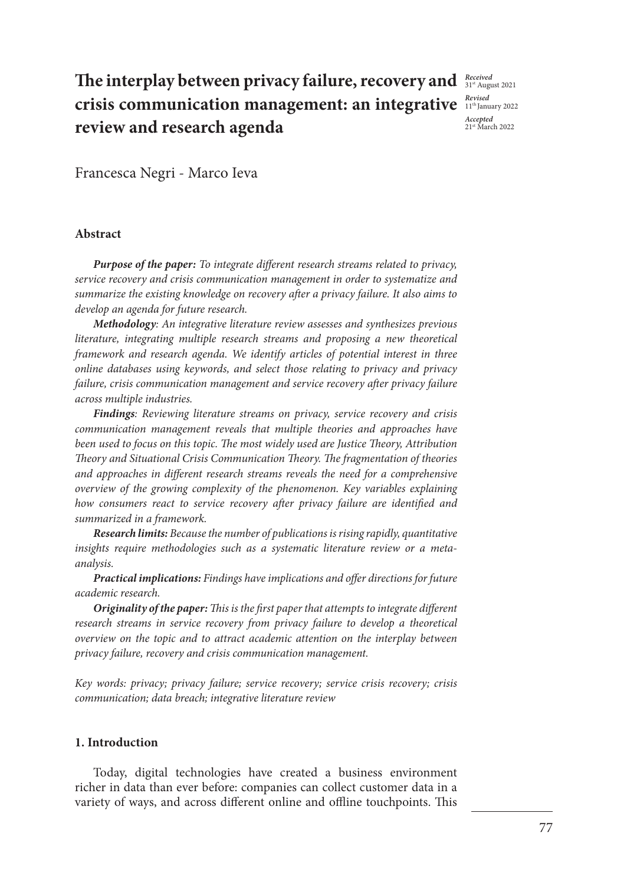# **The interplay between privacy failure, recovery and**  $\frac{Received}{314 \text{ August 2021}}$ **crisis communication management: an integrative**  $\frac{Revised}{11^{\text{th}} \text{January } 2022}$ **review and research agenda**

*Accepted*  21st March 2022

Francesca Negri - Marco Ieva

## **Abstract**

*Purpose of the paper: To integrate different research streams related to privacy, service recovery and crisis communication management in order to systematize and summarize the existing knowledge on recovery after a privacy failure. It also aims to develop an agenda for future research.*

*Methodology: An integrative literature review assesses and synthesizes previous literature, integrating multiple research streams and proposing a new theoretical framework and research agenda. We identify articles of potential interest in three online databases using keywords, and select those relating to privacy and privacy failure, crisis communication management and service recovery after privacy failure across multiple industries.* 

*Findings: Reviewing literature streams on privacy, service recovery and crisis communication management reveals that multiple theories and approaches have been used to focus on this topic. The most widely used are Justice Theory, Attribution Theory and Situational Crisis Communication Theory. The fragmentation of theories and approaches in different research streams reveals the need for a comprehensive overview of the growing complexity of the phenomenon. Key variables explaining how consumers react to service recovery after privacy failure are identified and summarized in a framework.*

*Research limits: Because the number of publications is rising rapidly, quantitative insights require methodologies such as a systematic literature review or a metaanalysis.* 

*Practical implications: Findings have implications and offer directions for future academic research.*

*Originality of the paper: This is the first paper that attempts to integrate different*  research streams in service recovery from privacy failure to develop a theoretical *overview on the topic and to attract academic attention on the interplay between privacy failure, recovery and crisis communication management.*

*Key words: privacy; privacy failure; service recovery; service crisis recovery; crisis communication; data breach; integrative literature review*

### **1. Introduction**

Today, digital technologies have created a business environment richer in data than ever before: companies can collect customer data in a variety of ways, and across different online and offline touchpoints. This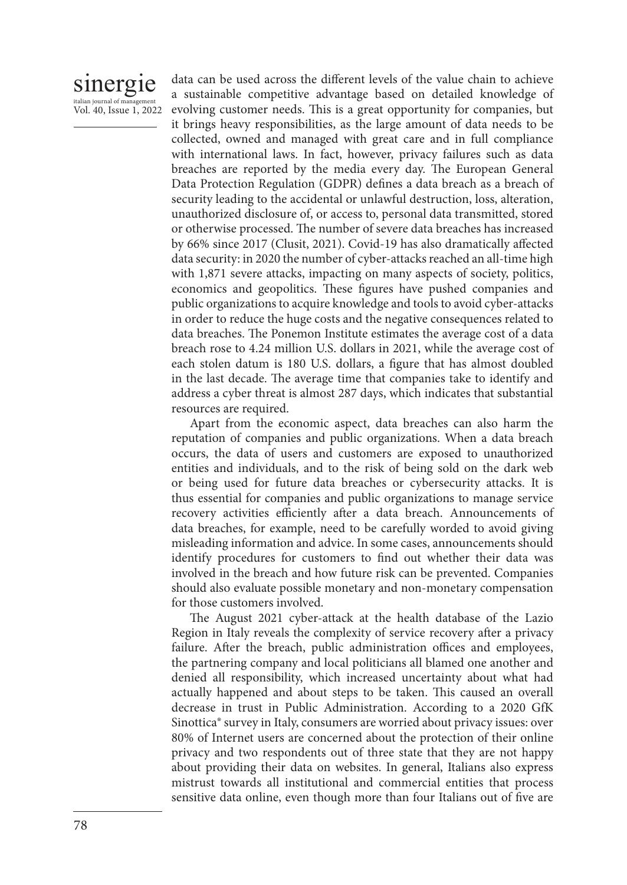

data can be used across the different levels of the value chain to achieve a sustainable competitive advantage based on detailed knowledge of evolving customer needs. This is a great opportunity for companies, but it brings heavy responsibilities, as the large amount of data needs to be collected, owned and managed with great care and in full compliance with international laws. In fact, however, privacy failures such as data breaches are reported by the media every day. The European General Data Protection Regulation (GDPR) defines a data breach as a breach of security leading to the accidental or unlawful destruction, loss, alteration, unauthorized disclosure of, or access to, personal data transmitted, stored or otherwise processed. The number of severe data breaches has increased by 66% since 2017 (Clusit, 2021). Covid-19 has also dramatically affected data security: in 2020 the number of cyber-attacks reached an all-time high with 1,871 severe attacks, impacting on many aspects of society, politics, economics and geopolitics. These figures have pushed companies and public organizations to acquire knowledge and tools to avoid cyber-attacks in order to reduce the huge costs and the negative consequences related to data breaches. The Ponemon Institute estimates the average cost of a data breach rose to 4.24 million U.S. dollars in 2021, while the average cost of each stolen datum is 180 U.S. dollars, a figure that has almost doubled in the last decade. The average time that companies take to identify and address a cyber threat is almost 287 days, which indicates that substantial resources are required.

Apart from the economic aspect, data breaches can also harm the reputation of companies and public organizations. When a data breach occurs, the data of users and customers are exposed to unauthorized entities and individuals, and to the risk of being sold on the dark web or being used for future data breaches or cybersecurity attacks. It is thus essential for companies and public organizations to manage service recovery activities efficiently after a data breach. Announcements of data breaches, for example, need to be carefully worded to avoid giving misleading information and advice. In some cases, announcements should identify procedures for customers to find out whether their data was involved in the breach and how future risk can be prevented. Companies should also evaluate possible monetary and non-monetary compensation for those customers involved.

The August 2021 cyber-attack at the health database of the Lazio Region in Italy reveals the complexity of service recovery after a privacy failure. After the breach, public administration offices and employees, the partnering company and local politicians all blamed one another and denied all responsibility, which increased uncertainty about what had actually happened and about steps to be taken. This caused an overall decrease in trust in Public Administration. According to a 2020 GfK Sinottica® survey in Italy, consumers are worried about privacy issues: over 80% of Internet users are concerned about the protection of their online privacy and two respondents out of three state that they are not happy about providing their data on websites. In general, Italians also express mistrust towards all institutional and commercial entities that process sensitive data online, even though more than four Italians out of five are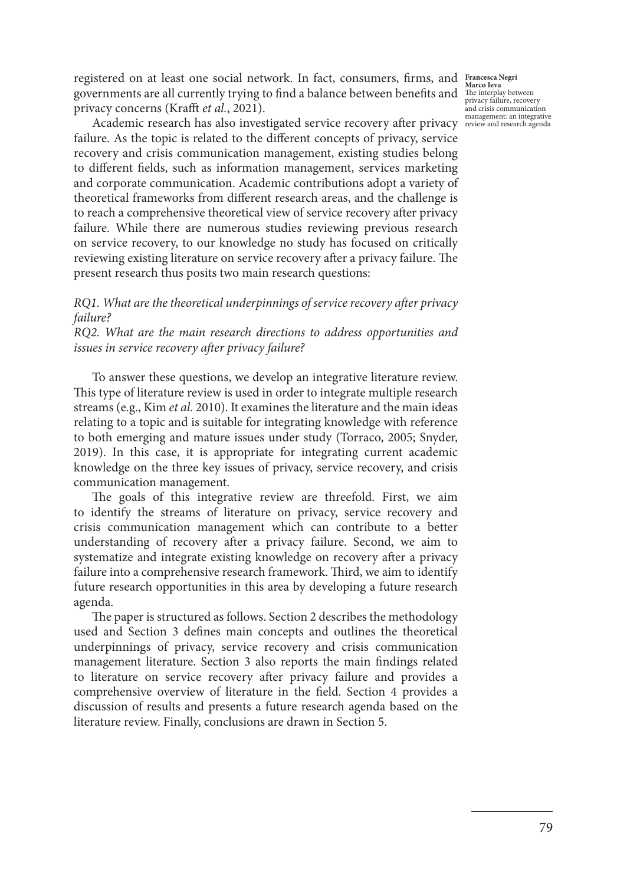registered on at least one social network. In fact, consumers, firms, and Francesca Negri Marco Ieva<br>
governments are all currently trying to find a balance between benefits and The interplay between<br>
privacy failure, recovery privacy concerns (Krafft *et al.*, 2021).

and crisis communication

management: an integrative review and research agenda Academic research has also investigated service recovery after privacy failure. As the topic is related to the different concepts of privacy, service recovery and crisis communication management, existing studies belong to different fields, such as information management, services marketing and corporate communication. Academic contributions adopt a variety of theoretical frameworks from different research areas, and the challenge is to reach a comprehensive theoretical view of service recovery after privacy failure. While there are numerous studies reviewing previous research on service recovery, to our knowledge no study has focused on critically reviewing existing literature on service recovery after a privacy failure. The present research thus posits two main research questions:

# *RQ1. What are the theoretical underpinnings of service recovery after privacy failure?*

*RQ2. What are the main research directions to address opportunities and issues in service recovery after privacy failure?*

To answer these questions, we develop an integrative literature review. This type of literature review is used in order to integrate multiple research streams (e.g., Kim *et al.* 2010). It examines the literature and the main ideas relating to a topic and is suitable for integrating knowledge with reference to both emerging and mature issues under study (Torraco, 2005; Snyder, 2019). In this case, it is appropriate for integrating current academic knowledge on the three key issues of privacy, service recovery, and crisis communication management.

The goals of this integrative review are threefold. First, we aim to identify the streams of literature on privacy, service recovery and crisis communication management which can contribute to a better understanding of recovery after a privacy failure. Second, we aim to systematize and integrate existing knowledge on recovery after a privacy failure into a comprehensive research framework. Third, we aim to identify future research opportunities in this area by developing a future research agenda.

The paper is structured as follows. Section 2 describes the methodology used and Section 3 defines main concepts and outlines the theoretical underpinnings of privacy, service recovery and crisis communication management literature. Section 3 also reports the main findings related to literature on service recovery after privacy failure and provides a comprehensive overview of literature in the field. Section 4 provides a discussion of results and presents a future research agenda based on the literature review. Finally, conclusions are drawn in Section 5.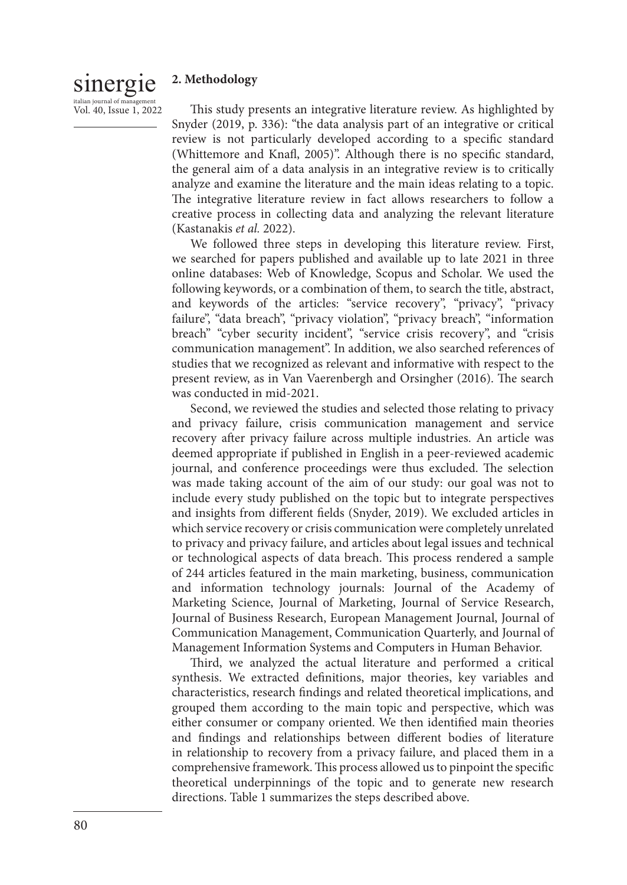### sinergie **2. Methodology**

italian journal of manage Vol. 40, Issue 1, 2022

This study presents an integrative literature review. As highlighted by Snyder (2019, p. 336): "the data analysis part of an integrative or critical review is not particularly developed according to a specific standard (Whittemore and Knafl, 2005)". Although there is no specific standard, the general aim of a data analysis in an integrative review is to critically analyze and examine the literature and the main ideas relating to a topic. The integrative literature review in fact allows researchers to follow a creative process in collecting data and analyzing the relevant literature (Kastanakis *et al.* 2022).

We followed three steps in developing this literature review. First, we searched for papers published and available up to late 2021 in three online databases: Web of Knowledge, Scopus and Scholar. We used the following keywords, or a combination of them, to search the title, abstract, and keywords of the articles: "service recovery", "privacy", "privacy failure", "data breach", "privacy violation", "privacy breach", "information breach" "cyber security incident", "service crisis recovery", and "crisis communication management". In addition, we also searched references of studies that we recognized as relevant and informative with respect to the present review, as in Van Vaerenbergh and Orsingher (2016). The search was conducted in mid-2021.

Second, we reviewed the studies and selected those relating to privacy and privacy failure, crisis communication management and service recovery after privacy failure across multiple industries. An article was deemed appropriate if published in English in a peer-reviewed academic journal, and conference proceedings were thus excluded. The selection was made taking account of the aim of our study: our goal was not to include every study published on the topic but to integrate perspectives and insights from different fields (Snyder, 2019). We excluded articles in which service recovery or crisis communication were completely unrelated to privacy and privacy failure, and articles about legal issues and technical or technological aspects of data breach. This process rendered a sample of 244 articles featured in the main marketing, business, communication and information technology journals: Journal of the Academy of Marketing Science, Journal of Marketing, Journal of Service Research, Journal of Business Research, European Management Journal, Journal of Communication Management, Communication Quarterly, and Journal of Management Information Systems and Computers in Human Behavior.

Third, we analyzed the actual literature and performed a critical synthesis. We extracted definitions, major theories, key variables and characteristics, research findings and related theoretical implications, and grouped them according to the main topic and perspective, which was either consumer or company oriented. We then identified main theories and findings and relationships between different bodies of literature in relationship to recovery from a privacy failure, and placed them in a comprehensive framework. This process allowed us to pinpoint the specific theoretical underpinnings of the topic and to generate new research directions. Table 1 summarizes the steps described above.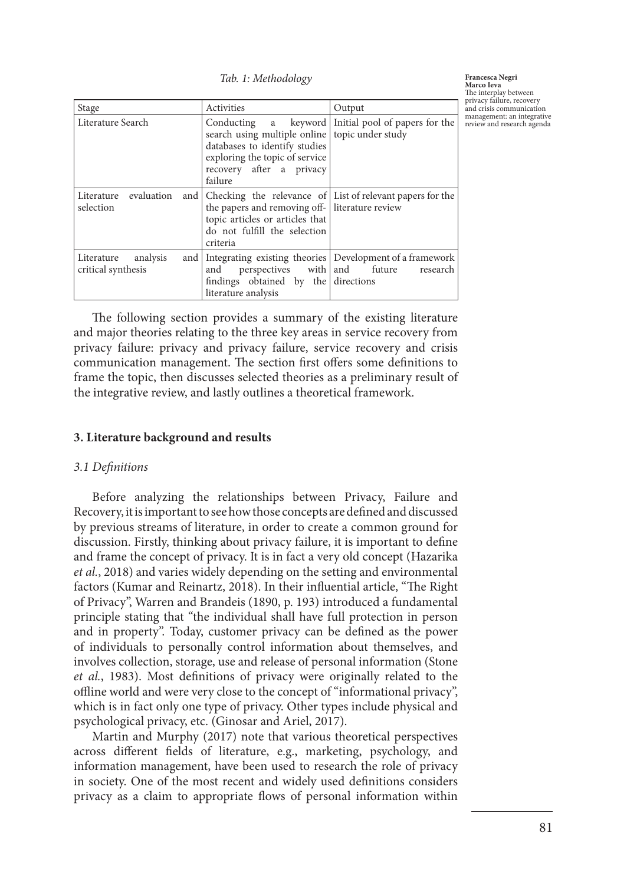*Tab. 1: Methodology* 

| Stage                                     | Activities                                                                                                                                                                                     | Output                                              |
|-------------------------------------------|------------------------------------------------------------------------------------------------------------------------------------------------------------------------------------------------|-----------------------------------------------------|
| Literature Search                         | search using multiple online topic under study<br>databases to identify studies<br>exploring the topic of service<br>recovery after a privacy<br>failure                                       | Conducting a keyword Initial pool of papers for the |
| evaluation<br>Literature<br>selection     | and Checking the relevance of List of relevant papers for the<br>the papers and removing off- literature review<br>topic articles or articles that<br>do not fulfill the selection<br>criteria |                                                     |
| Literature analysis<br>critical synthesis | and Integrating existing theories Development of a framework<br>and<br>findings obtained by the directions<br>literature analysis                                                              | perspectives with and future research               |

**Francesca Negri Marco Ieva** The interplay between privacy failure, recovery and crisis communication management: an integrative review and research agenda

The following section provides a summary of the existing literature and major theories relating to the three key areas in service recovery from privacy failure: privacy and privacy failure, service recovery and crisis communication management. The section first offers some definitions to frame the topic, then discusses selected theories as a preliminary result of the integrative review, and lastly outlines a theoretical framework.

### **3. Literature background and results**

### *3.1 Definitions*

Before analyzing the relationships between Privacy, Failure and Recovery, it is important to see how those concepts are defined and discussed by previous streams of literature, in order to create a common ground for discussion. Firstly, thinking about privacy failure, it is important to define and frame the concept of privacy. It is in fact a very old concept (Hazarika *et al.*, 2018) and varies widely depending on the setting and environmental factors (Kumar and Reinartz, 2018). In their influential article, "The Right of Privacy", Warren and Brandeis (1890, p. 193) introduced a fundamental principle stating that "the individual shall have full protection in person and in property". Today, customer privacy can be defined as the power of individuals to personally control information about themselves, and involves collection, storage, use and release of personal information (Stone *et al.*, 1983). Most definitions of privacy were originally related to the offline world and were very close to the concept of "informational privacy", which is in fact only one type of privacy. Other types include physical and psychological privacy, etc. (Ginosar and Ariel, 2017).

Martin and Murphy (2017) note that various theoretical perspectives across different fields of literature, e.g., marketing, psychology, and information management, have been used to research the role of privacy in society. One of the most recent and widely used definitions considers privacy as a claim to appropriate flows of personal information within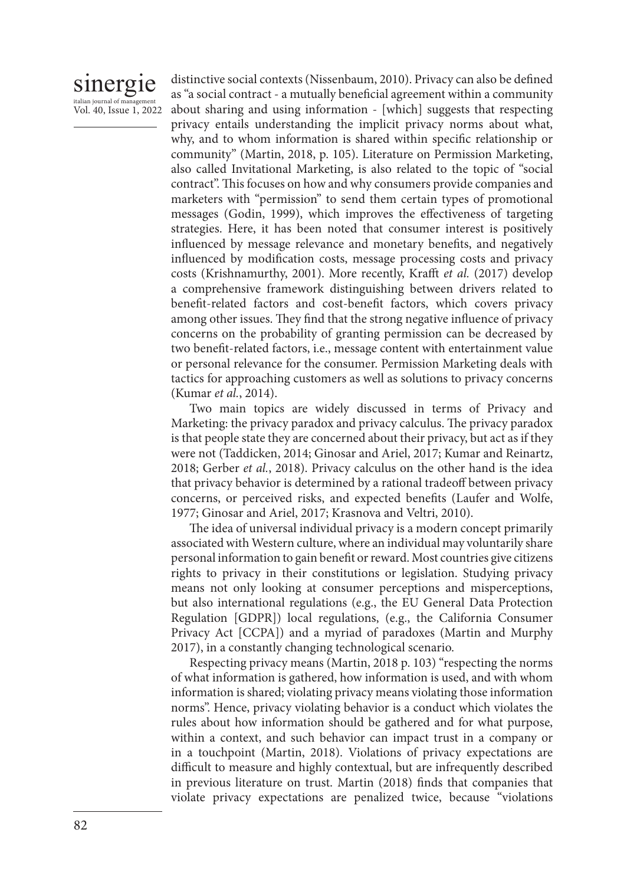# sinergie italian journal of manag Vol. 40, Issue 1, 2022

distinctive social contexts (Nissenbaum, 2010). Privacy can also be defined as "a social contract - a mutually beneficial agreement within a community about sharing and using information - [which] suggests that respecting privacy entails understanding the implicit privacy norms about what, why, and to whom information is shared within specific relationship or community" (Martin, 2018, p. 105). Literature on Permission Marketing, also called Invitational Marketing, is also related to the topic of "social contract". This focuses on how and why consumers provide companies and marketers with "permission" to send them certain types of promotional messages (Godin, 1999), which improves the effectiveness of targeting strategies. Here, it has been noted that consumer interest is positively influenced by message relevance and monetary benefits, and negatively influenced by modification costs, message processing costs and privacy costs (Krishnamurthy, 2001). More recently, Krafft *et al.* (2017) develop a comprehensive framework distinguishing between drivers related to benefit-related factors and cost-benefit factors, which covers privacy among other issues. They find that the strong negative influence of privacy concerns on the probability of granting permission can be decreased by two benefit-related factors, i.e., message content with entertainment value or personal relevance for the consumer. Permission Marketing deals with tactics for approaching customers as well as solutions to privacy concerns (Kumar *et al.*, 2014).

Two main topics are widely discussed in terms of Privacy and Marketing: the privacy paradox and privacy calculus. The privacy paradox is that people state they are concerned about their privacy, but act as if they were not (Taddicken, 2014; Ginosar and Ariel, 2017; Kumar and Reinartz, 2018; Gerber *et al.*, 2018). Privacy calculus on the other hand is the idea that privacy behavior is determined by a rational tradeoff between privacy concerns, or perceived risks, and expected benefits (Laufer and Wolfe, 1977; Ginosar and Ariel, 2017; Krasnova and Veltri, 2010).

The idea of universal individual privacy is a modern concept primarily associated with Western culture, where an individual may voluntarily share personal information to gain benefit or reward. Most countries give citizens rights to privacy in their constitutions or legislation. Studying privacy means not only looking at consumer perceptions and misperceptions, but also international regulations (e.g., the EU General Data Protection Regulation [GDPR]) local regulations, (e.g., the California Consumer Privacy Act [CCPA]) and a myriad of paradoxes (Martin and Murphy 2017), in a constantly changing technological scenario.

Respecting privacy means (Martin, 2018 p. 103) "respecting the norms of what information is gathered, how information is used, and with whom information is shared; violating privacy means violating those information norms". Hence, privacy violating behavior is a conduct which violates the rules about how information should be gathered and for what purpose, within a context, and such behavior can impact trust in a company or in a touchpoint (Martin, 2018). Violations of privacy expectations are difficult to measure and highly contextual, but are infrequently described in previous literature on trust. Martin (2018) finds that companies that violate privacy expectations are penalized twice, because "violations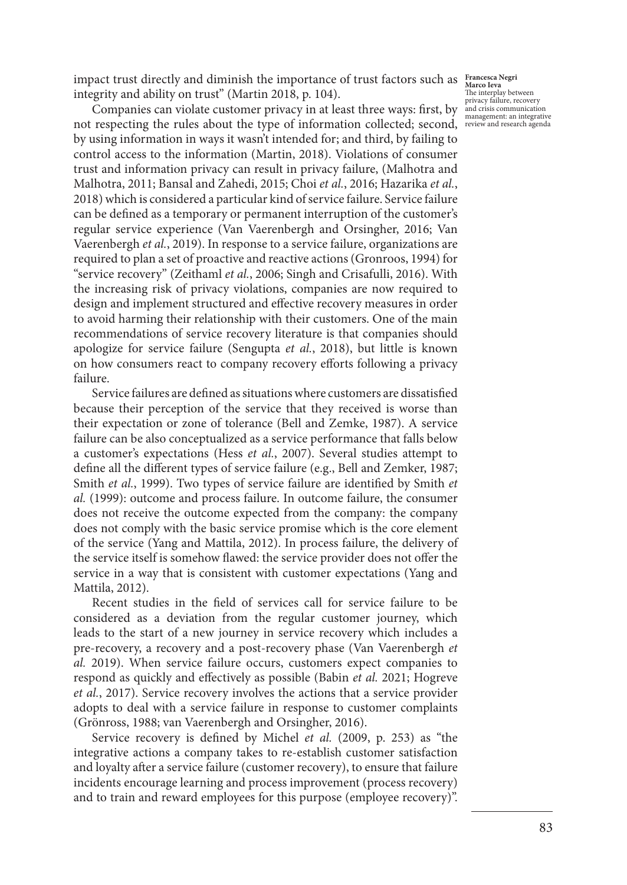impact trust directly and diminish the importance of trust factors such as **Francesca Negri** *Marco Ieva* integrity and ability on trust" (Martin 2018, p. 104).

Companies can violate customer privacy in at least three ways: first, by mandemission munication not respecting the rules about the type of information collected; second, review and research agenda by using information in ways it wasn't intended for; and third, by failing to control access to the information (Martin, 2018). Violations of consumer trust and information privacy can result in privacy failure, (Malhotra and Malhotra, 2011; Bansal and Zahedi, 2015; Choi *et al.*, 2016; Hazarika *et al.*, 2018) which is considered a particular kind of service failure. Service failure can be defined as a temporary or permanent interruption of the customer's regular service experience (Van Vaerenbergh and Orsingher, 2016; Van Vaerenbergh *et al.*, 2019). In response to a service failure, organizations are required to plan a set of proactive and reactive actions (Gronroos, 1994) for "service recovery" (Zeithaml *et al.*, 2006; Singh and Crisafulli, 2016). With the increasing risk of privacy violations, companies are now required to design and implement structured and effective recovery measures in order to avoid harming their relationship with their customers. One of the main recommendations of service recovery literature is that companies should apologize for service failure (Sengupta *et al.*, 2018), but little is known on how consumers react to company recovery efforts following a privacy failure.

Service failures are defined as situations where customers are dissatisfied because their perception of the service that they received is worse than their expectation or zone of tolerance (Bell and Zemke, 1987). A service failure can be also conceptualized as a service performance that falls below a customer's expectations (Hess *et al.*, 2007). Several studies attempt to define all the different types of service failure (e.g., Bell and Zemker, 1987; Smith *et al.*, 1999). Two types of service failure are identified by Smith *et al.* (1999): outcome and process failure. In outcome failure, the consumer does not receive the outcome expected from the company: the company does not comply with the basic service promise which is the core element of the service (Yang and Mattila, 2012). In process failure, the delivery of the service itself is somehow flawed: the service provider does not offer the service in a way that is consistent with customer expectations (Yang and Mattila, 2012).

Recent studies in the field of services call for service failure to be considered as a deviation from the regular customer journey, which leads to the start of a new journey in service recovery which includes a pre-recovery, a recovery and a post-recovery phase (Van Vaerenbergh *et al.* 2019). When service failure occurs, customers expect companies to respond as quickly and effectively as possible (Babin *et al.* 2021; Hogreve *et al.*, 2017). Service recovery involves the actions that a service provider adopts to deal with a service failure in response to customer complaints (Grönross, 1988; van Vaerenbergh and Orsingher, 2016).

Service recovery is defined by Michel *et al.* (2009, p. 253) as "the integrative actions a company takes to re-establish customer satisfaction and loyalty after a service failure (customer recovery), to ensure that failure incidents encourage learning and process improvement (process recovery) and to train and reward employees for this purpose (employee recovery)".

The interplay between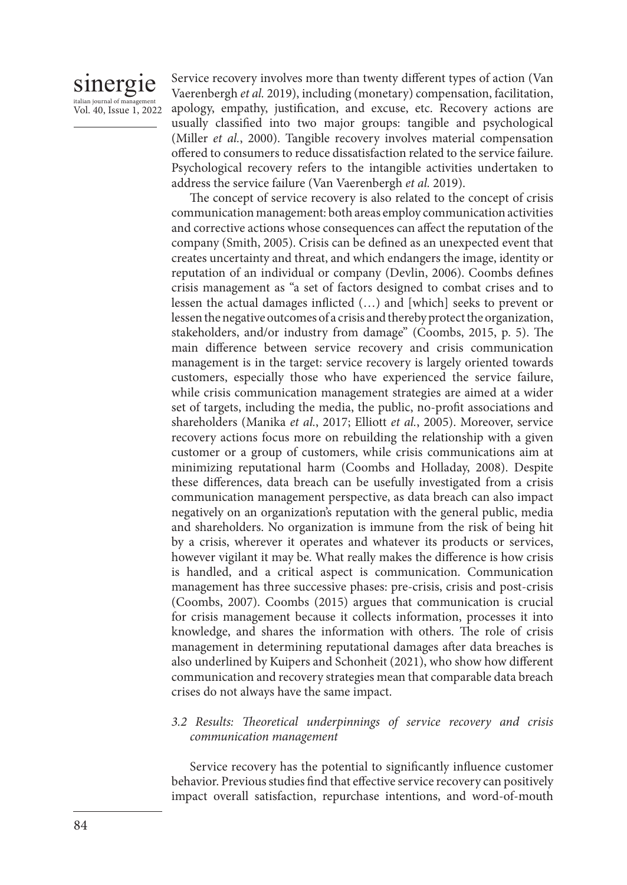# sinergie italian journal of mana

Vol. 40, Issue 1, 2022

Service recovery involves more than twenty different types of action (Van Vaerenbergh *et al.* 2019), including (monetary) compensation, facilitation, apology, empathy, justification, and excuse, etc. Recovery actions are usually classified into two major groups: tangible and psychological (Miller *et al.*, 2000). Tangible recovery involves material compensation offered to consumers to reduce dissatisfaction related to the service failure. Psychological recovery refers to the intangible activities undertaken to address the service failure (Van Vaerenbergh *et al.* 2019).

The concept of service recovery is also related to the concept of crisis communication management: both areas employ communication activities and corrective actions whose consequences can affect the reputation of the company (Smith, 2005). Crisis can be defined as an unexpected event that creates uncertainty and threat, and which endangers the image, identity or reputation of an individual or company (Devlin, 2006). Coombs defines crisis management as "a set of factors designed to combat crises and to lessen the actual damages inflicted (…) and [which] seeks to prevent or lessen the negative outcomes of a crisis and thereby protect the organization, stakeholders, and/or industry from damage" (Coombs, 2015, p. 5). The main difference between service recovery and crisis communication management is in the target: service recovery is largely oriented towards customers, especially those who have experienced the service failure, while crisis communication management strategies are aimed at a wider set of targets, including the media, the public, no-profit associations and shareholders (Manika *et al.*, 2017; Elliott *et al.*, 2005). Moreover, service recovery actions focus more on rebuilding the relationship with a given customer or a group of customers, while crisis communications aim at minimizing reputational harm (Coombs and Holladay, 2008). Despite these differences, data breach can be usefully investigated from a crisis communication management perspective, as data breach can also impact negatively on an organization's reputation with the general public, media and shareholders. No organization is immune from the risk of being hit by a crisis, wherever it operates and whatever its products or services, however vigilant it may be. What really makes the difference is how crisis is handled, and a critical aspect is communication. Communication management has three successive phases: pre-crisis, crisis and post-crisis (Coombs, 2007). Coombs (2015) argues that communication is crucial for crisis management because it collects information, processes it into knowledge, and shares the information with others. The role of crisis management in determining reputational damages after data breaches is also underlined by Kuipers and Schonheit (2021), who show how different communication and recovery strategies mean that comparable data breach crises do not always have the same impact.

# *3.2 Results: Theoretical underpinnings of service recovery and crisis communication management*

Service recovery has the potential to significantly influence customer behavior. Previous studies find that effective service recovery can positively impact overall satisfaction, repurchase intentions, and word-of-mouth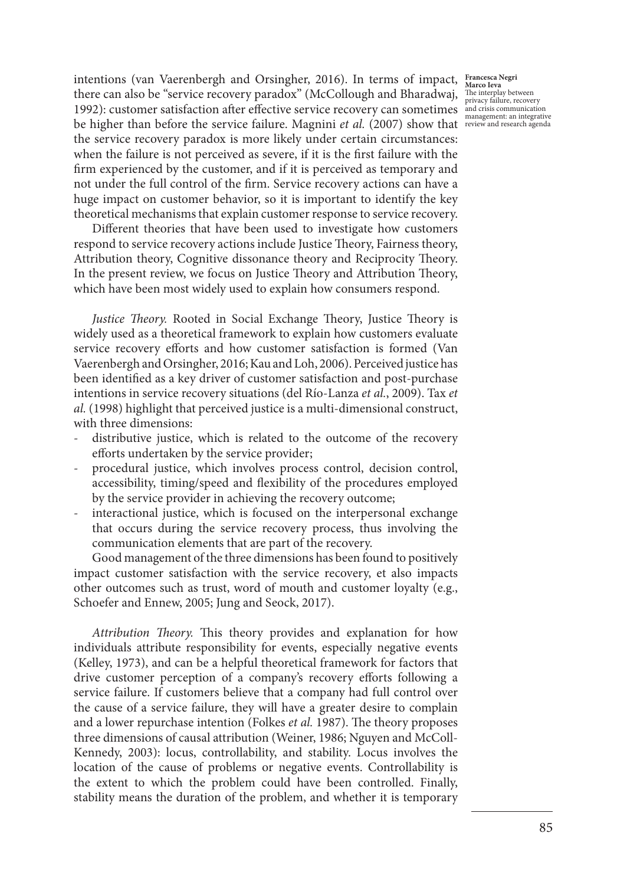intentions (van Vaerenbergh and Orsingher, 2016). In terms of impact, **Francesca Negri**  there can also be "service recovery paradox" (McCollough and Bharadwaj, 1992): customer satisfaction after effective service recovery can sometimes  $\frac{1}{2}$  and crisis communication be higher than before the service failure. Magnini *et al.* (2007) show that review and research agenda the service recovery paradox is more likely under certain circumstances: when the failure is not perceived as severe, if it is the first failure with the firm experienced by the customer, and if it is perceived as temporary and not under the full control of the firm. Service recovery actions can have a huge impact on customer behavior, so it is important to identify the key theoretical mechanisms that explain customer response to service recovery.

Different theories that have been used to investigate how customers respond to service recovery actions include Justice Theory, Fairness theory, Attribution theory, Cognitive dissonance theory and Reciprocity Theory. In the present review, we focus on Justice Theory and Attribution Theory, which have been most widely used to explain how consumers respond.

*Justice Theory.* Rooted in Social Exchange Theory, Justice Theory is widely used as a theoretical framework to explain how customers evaluate service recovery efforts and how customer satisfaction is formed (Van Vaerenbergh and Orsingher, 2016; Kau and Loh, 2006). Perceived justice has been identified as a key driver of customer satisfaction and post-purchase intentions in service recovery situations (del Río-Lanza *et al.*, 2009). Tax *et al.* (1998) highlight that perceived justice is a multi-dimensional construct, with three dimensions:

- distributive justice, which is related to the outcome of the recovery efforts undertaken by the service provider;
- procedural justice, which involves process control, decision control, accessibility, timing/speed and flexibility of the procedures employed by the service provider in achieving the recovery outcome;
- interactional justice, which is focused on the interpersonal exchange that occurs during the service recovery process, thus involving the communication elements that are part of the recovery.

Good management of the three dimensions has been found to positively impact customer satisfaction with the service recovery, et also impacts other outcomes such as trust, word of mouth and customer loyalty (e.g., Schoefer and Ennew, 2005; Jung and Seock, 2017).

*Attribution Theory.* This theory provides and explanation for how individuals attribute responsibility for events, especially negative events (Kelley, 1973), and can be a helpful theoretical framework for factors that drive customer perception of a company's recovery efforts following a service failure. If customers believe that a company had full control over the cause of a service failure, they will have a greater desire to complain and a lower repurchase intention (Folkes *et al.* 1987). The theory proposes three dimensions of causal attribution (Weiner, 1986; Nguyen and McColl-Kennedy, 2003): locus, controllability, and stability. Locus involves the location of the cause of problems or negative events. Controllability is the extent to which the problem could have been controlled. Finally, stability means the duration of the problem, and whether it is temporary

**Marco Ieva** The interplay between privacy failure, recovery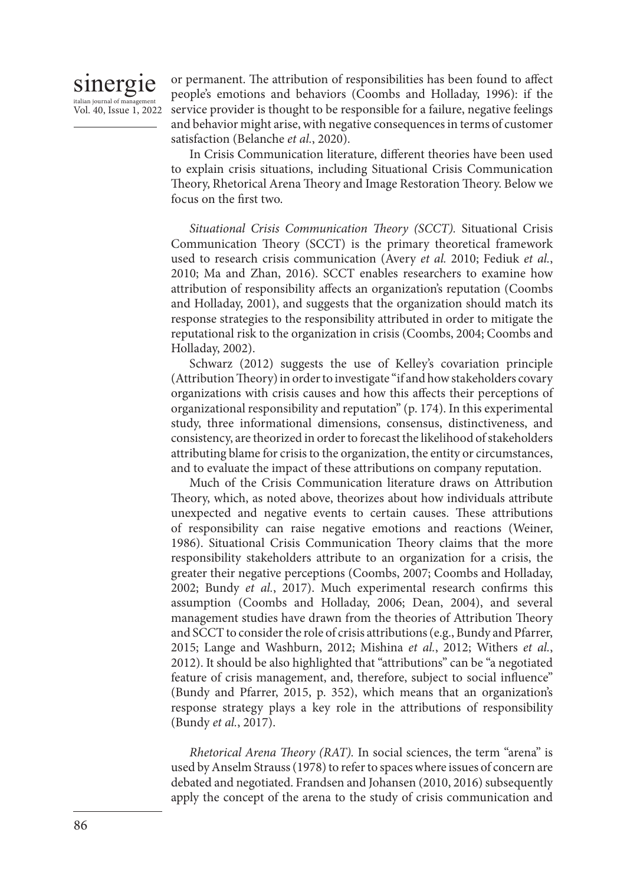

or permanent. The attribution of responsibilities has been found to affect people's emotions and behaviors (Coombs and Holladay, 1996): if the service provider is thought to be responsible for a failure, negative feelings and behavior might arise, with negative consequences in terms of customer satisfaction (Belanche *et al.*, 2020).

In Crisis Communication literature, different theories have been used to explain crisis situations, including Situational Crisis Communication Theory, Rhetorical Arena Theory and Image Restoration Theory. Below we focus on the first two.

*Situational Crisis Communication Theory (SCCT).* Situational Crisis Communication Theory (SCCT) is the primary theoretical framework used to research crisis communication (Avery *et al.* 2010; Fediuk *et al.*, 2010; Ma and Zhan, 2016). SCCT enables researchers to examine how attribution of responsibility affects an organization's reputation (Coombs and Holladay, 2001), and suggests that the organization should match its response strategies to the responsibility attributed in order to mitigate the reputational risk to the organization in crisis (Coombs, 2004; Coombs and Holladay, 2002).

Schwarz (2012) suggests the use of Kelley's covariation principle (Attribution Theory) in order to investigate "if and how stakeholders covary organizations with crisis causes and how this affects their perceptions of organizational responsibility and reputation" (p. 174). In this experimental study, three informational dimensions, consensus, distinctiveness, and consistency, are theorized in order to forecast the likelihood of stakeholders attributing blame for crisis to the organization, the entity or circumstances, and to evaluate the impact of these attributions on company reputation.

Much of the Crisis Communication literature draws on Attribution Theory, which, as noted above, theorizes about how individuals attribute unexpected and negative events to certain causes. These attributions of responsibility can raise negative emotions and reactions (Weiner, 1986). Situational Crisis Communication Theory claims that the more responsibility stakeholders attribute to an organization for a crisis, the greater their negative perceptions (Coombs, 2007; Coombs and Holladay, 2002; Bundy *et al.*, 2017). Much experimental research confirms this assumption (Coombs and Holladay, 2006; Dean, 2004), and several management studies have drawn from the theories of Attribution Theory and SCCT to consider the role of crisis attributions (e.g., Bundy and Pfarrer, 2015; Lange and Washburn, 2012; Mishina *et al.*, 2012; Withers *et al.*, 2012). It should be also highlighted that "attributions" can be "a negotiated feature of crisis management, and, therefore, subject to social influence" (Bundy and Pfarrer, 2015, p. 352), which means that an organization's response strategy plays a key role in the attributions of responsibility (Bundy *et al.*, 2017).

*Rhetorical Arena Theory (RAT).* In social sciences, the term "arena" is used by Anselm Strauss (1978) to refer to spaces where issues of concern are debated and negotiated. Frandsen and Johansen (2010, 2016) subsequently apply the concept of the arena to the study of crisis communication and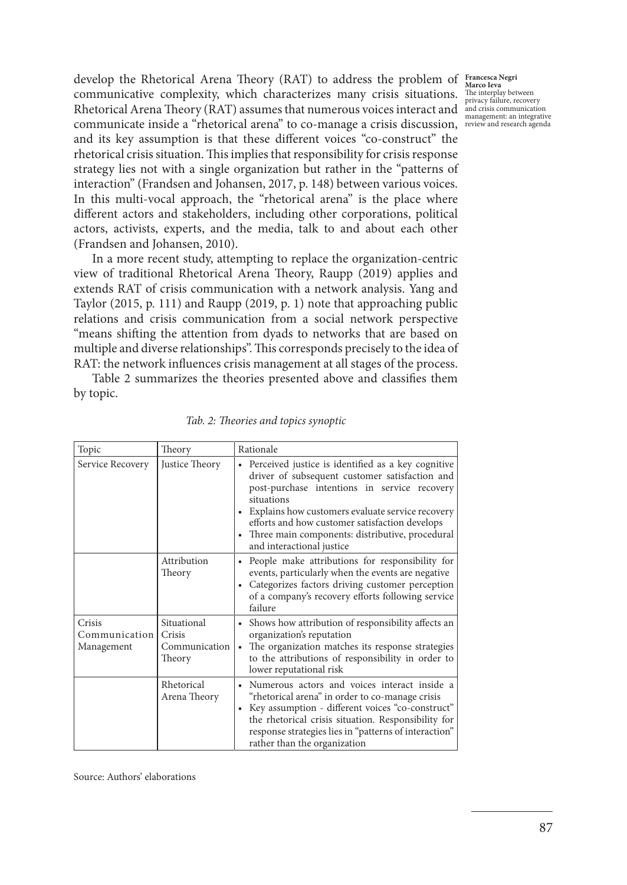develop the Rhetorical Arena Theory (RAT) to address the problem of **Francesca Negri**  communicative complexity, which characterizes many crisis situations. Privacy failure, recovery<br>Rhetorical Arena Theory (RAT) assumes that numerous voices interact and and resist communication communicate inside a "rhetorical arena" to co-manage a crisis discussion, management: an integrative review and research agendaand its key assumption is that these different voices "co-construct" the rhetorical crisis situation. This implies that responsibility for crisis response strategy lies not with a single organization but rather in the "patterns of interaction" (Frandsen and Johansen, 2017, p. 148) between various voices. In this multi-vocal approach, the "rhetorical arena" is the place where different actors and stakeholders, including other corporations, political actors, activists, experts, and the media, talk to and about each other (Frandsen and Johansen, 2010). communicative complexity, which characterizes many crisis situations. The interplay between

In a more recent study, attempting to replace the organization-centric view of traditional Rhetorical Arena Theory, Raupp (2019) applies and extends RAT of crisis communication with a network analysis. Yang and Taylor (2015, p. 111) and Raupp (2019, p. 1) note that approaching public relations and crisis communication from a social network perspective "means shifting the attention from dyads to networks that are based on multiple and diverse relationships". This corresponds precisely to the idea of RAT: the network influences crisis management at all stages of the process.

Table 2 summarizes the theories presented above and classifies them by topic.

| Topic                                 | Theory                                           | Rationale                                                                                                                                                                                                                                                                                                                                                               |
|---------------------------------------|--------------------------------------------------|-------------------------------------------------------------------------------------------------------------------------------------------------------------------------------------------------------------------------------------------------------------------------------------------------------------------------------------------------------------------------|
| Service Recovery                      | Justice Theory                                   | • Perceived justice is identified as a key cognitive<br>driver of subsequent customer satisfaction and<br>post-purchase intentions in service recovery<br>situations<br>Explains how customers evaluate service recovery<br>efforts and how customer satisfaction develops<br>Three main components: distributive, procedural<br>$\bullet$<br>and interactional justice |
|                                       | Attribution<br>Theory                            | People make attributions for responsibility for<br>$\bullet$<br>events, particularly when the events are negative<br>Categorizes factors driving customer perception<br>of a company's recovery efforts following service<br>failure                                                                                                                                    |
| Crisis<br>Communication<br>Management | Situational<br>Crisis<br>Communication<br>Theory | Shows how attribution of responsibility affects an<br>$\bullet$<br>organization's reputation<br>The organization matches its response strategies<br>to the attributions of responsibility in order to<br>lower reputational risk                                                                                                                                        |
|                                       | Rhetorical<br>Arena Theory                       | Numerous actors and voices interact inside a<br>٠<br>"rhetorical arena" in order to co-manage crisis<br>Key assumption - different voices "co-construct"<br>$\bullet$<br>the rhetorical crisis situation. Responsibility for<br>response strategies lies in "patterns of interaction"<br>rather than the organization                                                   |

*Tab. 2: Theories and topics synoptic*

Source: Authors' elaborations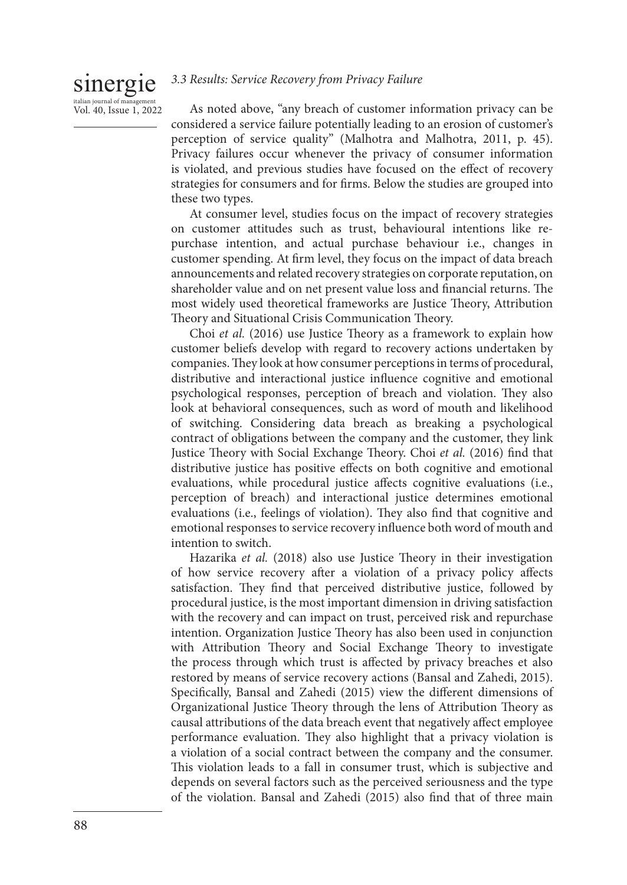#### sinergie *3.3 Results: Service Recovery from Privacy Failure*

As noted above, "any breach of customer information privacy can be considered a service failure potentially leading to an erosion of customer's perception of service quality" (Malhotra and Malhotra, 2011, p. 45). Privacy failures occur whenever the privacy of consumer information is violated, and previous studies have focused on the effect of recovery strategies for consumers and for firms. Below the studies are grouped into these two types.

At consumer level, studies focus on the impact of recovery strategies on customer attitudes such as trust, behavioural intentions like repurchase intention, and actual purchase behaviour i.e., changes in customer spending. At firm level, they focus on the impact of data breach announcements and related recovery strategies on corporate reputation, on shareholder value and on net present value loss and financial returns. The most widely used theoretical frameworks are Justice Theory, Attribution Theory and Situational Crisis Communication Theory.

Choi *et al.* (2016) use Justice Theory as a framework to explain how customer beliefs develop with regard to recovery actions undertaken by companies. They look at how consumer perceptions in terms of procedural, distributive and interactional justice influence cognitive and emotional psychological responses, perception of breach and violation. They also look at behavioral consequences, such as word of mouth and likelihood of switching. Considering data breach as breaking a psychological contract of obligations between the company and the customer, they link Justice Theory with Social Exchange Theory. Choi *et al.* (2016) find that distributive justice has positive effects on both cognitive and emotional evaluations, while procedural justice affects cognitive evaluations (i.e., perception of breach) and interactional justice determines emotional evaluations (i.e., feelings of violation). They also find that cognitive and emotional responses to service recovery influence both word of mouth and intention to switch.

Hazarika *et al.* (2018) also use Justice Theory in their investigation of how service recovery after a violation of a privacy policy affects satisfaction. They find that perceived distributive justice, followed by procedural justice, is the most important dimension in driving satisfaction with the recovery and can impact on trust, perceived risk and repurchase intention. Organization Justice Theory has also been used in conjunction with Attribution Theory and Social Exchange Theory to investigate the process through which trust is affected by privacy breaches et also restored by means of service recovery actions (Bansal and Zahedi, 2015). Specifically, Bansal and Zahedi (2015) view the different dimensions of Organizational Justice Theory through the lens of Attribution Theory as causal attributions of the data breach event that negatively affect employee performance evaluation. They also highlight that a privacy violation is a violation of a social contract between the company and the consumer. This violation leads to a fall in consumer trust, which is subjective and depends on several factors such as the perceived seriousness and the type of the violation. Bansal and Zahedi (2015) also find that of three main

italian journal of manag Vol. 40, Issue 1, 2022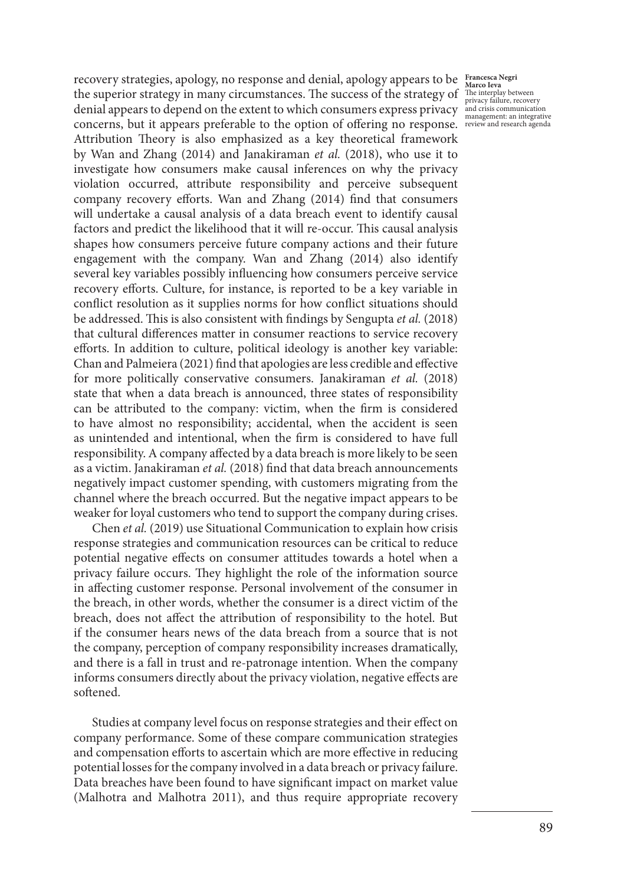recovery strategies, apology, no response and denial, apology appears to be **Francesca Negri**  the superior strategy in many circumstances. The success of the strategy of denial appears to depend on the extent to which consumers express privacy concerns, but it appears preferable to the option of offering no response. review and research agenda Attribution Theory is also emphasized as a key theoretical framework by Wan and Zhang (2014) and Janakiraman *et al.* (2018), who use it to investigate how consumers make causal inferences on why the privacy violation occurred, attribute responsibility and perceive subsequent company recovery efforts. Wan and Zhang (2014) find that consumers will undertake a causal analysis of a data breach event to identify causal factors and predict the likelihood that it will re-occur. This causal analysis shapes how consumers perceive future company actions and their future engagement with the company. Wan and Zhang (2014) also identify several key variables possibly influencing how consumers perceive service recovery efforts. Culture, for instance, is reported to be a key variable in conflict resolution as it supplies norms for how conflict situations should be addressed. This is also consistent with findings by Sengupta *et al.* (2018) that cultural differences matter in consumer reactions to service recovery efforts. In addition to culture, political ideology is another key variable: Chan and Palmeiera (2021) find that apologies are less credible and effective for more politically conservative consumers. Janakiraman *et al.* (2018) state that when a data breach is announced, three states of responsibility can be attributed to the company: victim, when the firm is considered to have almost no responsibility; accidental, when the accident is seen as unintended and intentional, when the firm is considered to have full responsibility. A company affected by a data breach is more likely to be seen as a victim. Janakiraman *et al.* (2018) find that data breach announcements negatively impact customer spending, with customers migrating from the channel where the breach occurred. But the negative impact appears to be weaker for loyal customers who tend to support the company during crises.

Chen *et al.* (2019) use Situational Communication to explain how crisis response strategies and communication resources can be critical to reduce potential negative effects on consumer attitudes towards a hotel when a privacy failure occurs. They highlight the role of the information source in affecting customer response. Personal involvement of the consumer in the breach, in other words, whether the consumer is a direct victim of the breach, does not affect the attribution of responsibility to the hotel. But if the consumer hears news of the data breach from a source that is not the company, perception of company responsibility increases dramatically, and there is a fall in trust and re-patronage intention. When the company informs consumers directly about the privacy violation, negative effects are softened.

Studies at company level focus on response strategies and their effect on company performance. Some of these compare communication strategies and compensation efforts to ascertain which are more effective in reducing potential losses for the company involved in a data breach or privacy failure. Data breaches have been found to have significant impact on market value (Malhotra and Malhotra 2011), and thus require appropriate recovery

**Marco Ieva** The interplay between privacy failure, recovery and crisis communication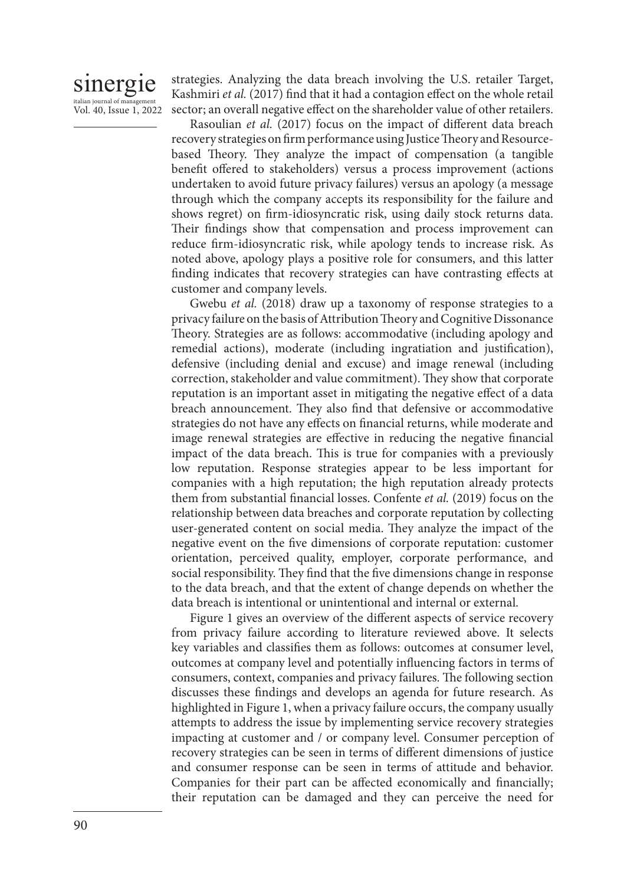# sinergie italian journal of manag Vol. 40, Issue 1, 2022

strategies. Analyzing the data breach involving the U.S. retailer Target, Kashmiri *et al.* (2017) find that it had a contagion effect on the whole retail sector; an overall negative effect on the shareholder value of other retailers.

Rasoulian *et al.* (2017) focus on the impact of different data breach recovery strategies on firm performance using Justice Theory and Resourcebased Theory. They analyze the impact of compensation (a tangible benefit offered to stakeholders) versus a process improvement (actions undertaken to avoid future privacy failures) versus an apology (a message through which the company accepts its responsibility for the failure and shows regret) on firm-idiosyncratic risk, using daily stock returns data. Their findings show that compensation and process improvement can reduce firm-idiosyncratic risk, while apology tends to increase risk. As noted above, apology plays a positive role for consumers, and this latter finding indicates that recovery strategies can have contrasting effects at customer and company levels.

Gwebu *et al.* (2018) draw up a taxonomy of response strategies to a privacy failure on the basis of Attribution Theory and Cognitive Dissonance Theory. Strategies are as follows: accommodative (including apology and remedial actions), moderate (including ingratiation and justification), defensive (including denial and excuse) and image renewal (including correction, stakeholder and value commitment). They show that corporate reputation is an important asset in mitigating the negative effect of a data breach announcement. They also find that defensive or accommodative strategies do not have any effects on financial returns, while moderate and image renewal strategies are effective in reducing the negative financial impact of the data breach. This is true for companies with a previously low reputation. Response strategies appear to be less important for companies with a high reputation; the high reputation already protects them from substantial financial losses. Confente *et al.* (2019) focus on the relationship between data breaches and corporate reputation by collecting user-generated content on social media. They analyze the impact of the negative event on the five dimensions of corporate reputation: customer orientation, perceived quality, employer, corporate performance, and social responsibility. They find that the five dimensions change in response to the data breach, and that the extent of change depends on whether the data breach is intentional or unintentional and internal or external.

Figure 1 gives an overview of the different aspects of service recovery from privacy failure according to literature reviewed above. It selects key variables and classifies them as follows: outcomes at consumer level, outcomes at company level and potentially influencing factors in terms of consumers, context, companies and privacy failures. The following section discusses these findings and develops an agenda for future research. As highlighted in Figure 1, when a privacy failure occurs, the company usually attempts to address the issue by implementing service recovery strategies impacting at customer and / or company level. Consumer perception of recovery strategies can be seen in terms of different dimensions of justice and consumer response can be seen in terms of attitude and behavior. Companies for their part can be affected economically and financially; their reputation can be damaged and they can perceive the need for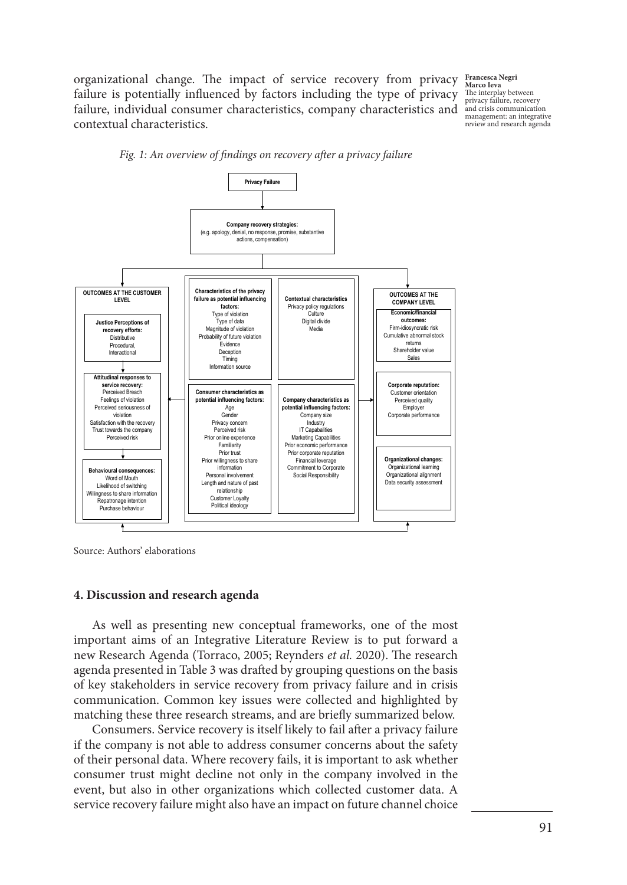organizational change. The impact of service recovery from privacy failure is potentially influenced by factors including the type of privacy failure, individual consumer characteristics, company characteristics and and crisis communication contextual characteristics.

**Francesca Negri Marco Ieva** The interplay between privacy failure, recovery management: an integrative review and research agenda



*Fig. 1: An overview of findings on recovery after a privacy failure*

Source: Authors' elaborations

### **4. Discussion and research agenda**

As well as presenting new conceptual frameworks, one of the most important aims of an Integrative Literature Review is to put forward a new Research Agenda (Torraco, 2005; Reynders *et al.* 2020). The research agenda presented in Table 3 was drafted by grouping questions on the basis of key stakeholders in service recovery from privacy failure and in crisis communication. Common key issues were collected and highlighted by matching these three research streams, and are briefly summarized below.

Consumers. Service recovery is itself likely to fail after a privacy failure if the company is not able to address consumer concerns about the safety of their personal data. Where recovery fails, it is important to ask whether consumer trust might decline not only in the company involved in the event, but also in other organizations which collected customer data. A service recovery failure might also have an impact on future channel choice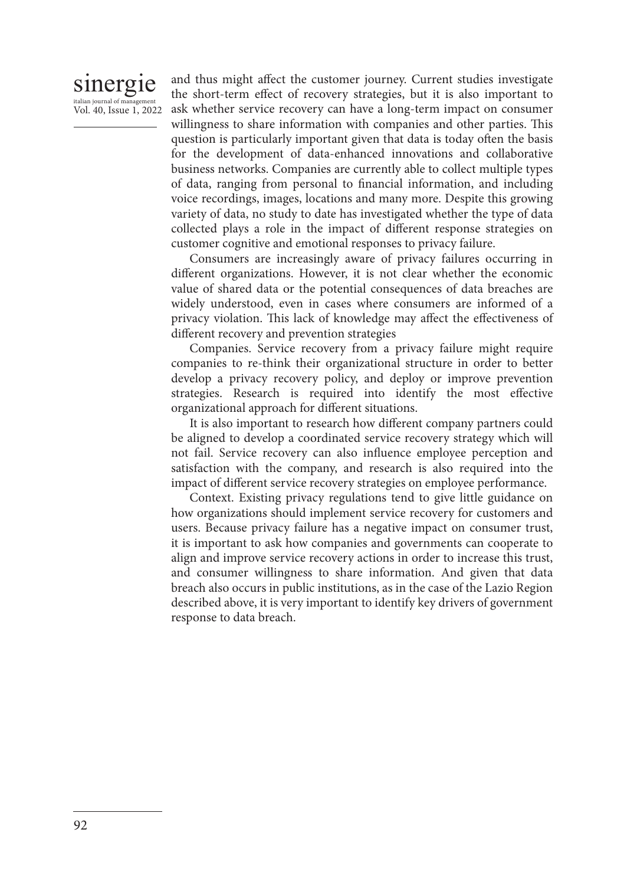# sinergie italian journal of management Vol. 40, Issue 1, 2022

and thus might affect the customer journey. Current studies investigate the short-term effect of recovery strategies, but it is also important to ask whether service recovery can have a long-term impact on consumer willingness to share information with companies and other parties. This question is particularly important given that data is today often the basis for the development of data-enhanced innovations and collaborative business networks. Companies are currently able to collect multiple types of data, ranging from personal to financial information, and including voice recordings, images, locations and many more. Despite this growing variety of data, no study to date has investigated whether the type of data collected plays a role in the impact of different response strategies on customer cognitive and emotional responses to privacy failure.

Consumers are increasingly aware of privacy failures occurring in different organizations. However, it is not clear whether the economic value of shared data or the potential consequences of data breaches are widely understood, even in cases where consumers are informed of a privacy violation. This lack of knowledge may affect the effectiveness of different recovery and prevention strategies

Companies. Service recovery from a privacy failure might require companies to re-think their organizational structure in order to better develop a privacy recovery policy, and deploy or improve prevention strategies. Research is required into identify the most effective organizational approach for different situations.

It is also important to research how different company partners could be aligned to develop a coordinated service recovery strategy which will not fail. Service recovery can also influence employee perception and satisfaction with the company, and research is also required into the impact of different service recovery strategies on employee performance.

Context. Existing privacy regulations tend to give little guidance on how organizations should implement service recovery for customers and users. Because privacy failure has a negative impact on consumer trust, it is important to ask how companies and governments can cooperate to align and improve service recovery actions in order to increase this trust, and consumer willingness to share information. And given that data breach also occurs in public institutions, as in the case of the Lazio Region described above, it is very important to identify key drivers of government response to data breach.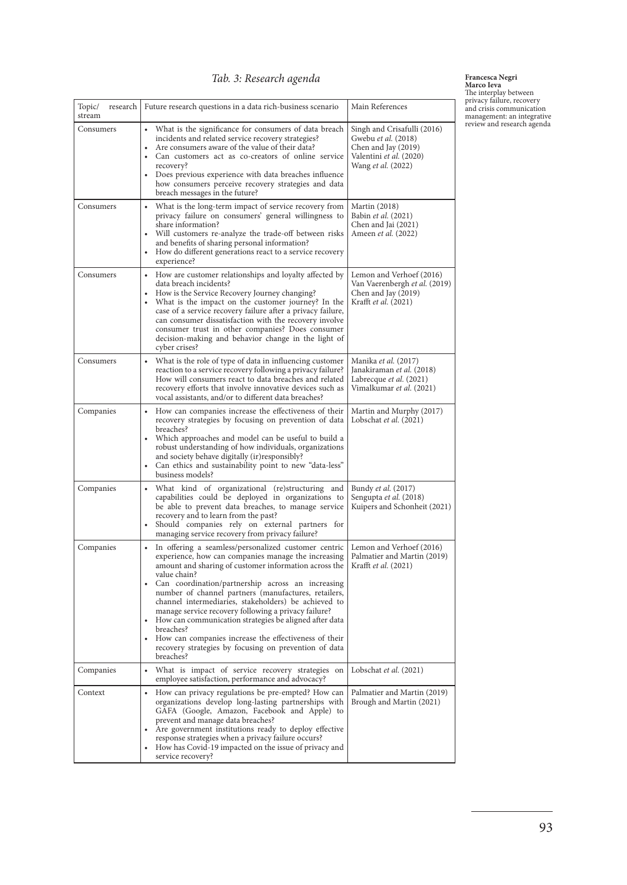# *Tab. 3: Research agenda*

**Francesca Negri<br>
The interplay between**<br>
privacy failure, recovery<br>
privacy failure, recovery<br>
management: an integrative<br>
review and research agenda<br>
review and research agenda

| Topic/<br>research<br>stream | Future research questions in a data rich-business scenario                                                                                                                                                                                                                                                                                                                                                                                                                                                                                                                                                              | Main References                                                                                                            |
|------------------------------|-------------------------------------------------------------------------------------------------------------------------------------------------------------------------------------------------------------------------------------------------------------------------------------------------------------------------------------------------------------------------------------------------------------------------------------------------------------------------------------------------------------------------------------------------------------------------------------------------------------------------|----------------------------------------------------------------------------------------------------------------------------|
| Consumers                    | What is the significance for consumers of data breach<br>incidents and related service recovery strategies?<br>Are consumers aware of the value of their data?<br>Can customers act as co-creators of online service<br>recovery?<br>Does previous experience with data breaches influence<br>how consumers perceive recovery strategies and data<br>breach messages in the future?                                                                                                                                                                                                                                     | Singh and Crisafulli (2016)<br>Gwebu et al. (2018)<br>Chen and Jay (2019)<br>Valentini et al. (2020)<br>Wang et al. (2022) |
| Consumers                    | What is the long-term impact of service recovery from<br>privacy failure on consumers' general willingness to<br>share information?<br>Will customers re-analyze the trade-off between risks<br>and benefits of sharing personal information?<br>How do different generations react to a service recovery<br>experience?                                                                                                                                                                                                                                                                                                | Martin (2018)<br>Babin et al. (2021)<br>Chen and Jai (2021)<br>Ameen <i>et al.</i> (2022)                                  |
| Consumers                    | • How are customer relationships and loyalty affected by<br>data breach incidents?<br>How is the Service Recovery Journey changing?<br>What is the impact on the customer journey? In the<br>case of a service recovery failure after a privacy failure,<br>can consumer dissatisfaction with the recovery involve<br>consumer trust in other companies? Does consumer<br>decision-making and behavior change in the light of<br>cyber crises?                                                                                                                                                                          | Lemon and Verhoef (2016)<br>Van Vaerenbergh et al. (2019)<br>Chen and Jay (2019)<br>Krafft et al. (2021)                   |
| Consumers                    | What is the role of type of data in influencing customer<br>reaction to a service recovery following a privacy failure?<br>How will consumers react to data breaches and related<br>recovery efforts that involve innovative devices such as<br>vocal assistants, and/or to different data breaches?                                                                                                                                                                                                                                                                                                                    | Manika et al. (2017)<br>Janakiraman et al. (2018)<br>Labrecque et al. (2021)<br>Vimalkumar <i>et al</i> . (2021)           |
| Companies                    | How can companies increase the effectiveness of their<br>recovery strategies by focusing on prevention of data<br>breaches?<br>Which approaches and model can be useful to build a<br>robust understanding of how individuals, organizations<br>and society behave digitally (ir)responsibly?<br>Can ethics and sustainability point to new "data-less"<br>business models?                                                                                                                                                                                                                                             | Martin and Murphy (2017)<br>Lobschat et al. (2021)                                                                         |
| Companies                    | What kind of organizational (re)structuring and<br>capabilities could be deployed in organizations to<br>be able to prevent data breaches, to manage service<br>recovery and to learn from the past?<br>Should companies rely on external partners for<br>managing service recovery from privacy failure?                                                                                                                                                                                                                                                                                                               | Bundy et al. (2017)<br>Sengupta et al. (2018)<br>Kuipers and Schonheit (2021)                                              |
| Companies                    | In offering a seamless/personalized customer centric<br>experience, how can companies manage the increasing<br>amount and sharing of customer information across the<br>value chain?<br>Can coordination/partnership across an increasing<br>number of channel partners (manufactures, retailers,<br>channel intermediaries, stakeholders) be achieved to<br>manage service recovery following a privacy failure?<br>How can communication strategies be aligned after data<br>breaches?<br>How can companies increase the effectiveness of their<br>recovery strategies by focusing on prevention of data<br>breaches? | Lemon and Verhoef (2016)<br>Palmatier and Martin (2019)<br>Krafft et al. (2021)                                            |
| Companies                    | What is impact of service recovery strategies on<br>employee satisfaction, performance and advocacy?                                                                                                                                                                                                                                                                                                                                                                                                                                                                                                                    | Lobschat et al. (2021)                                                                                                     |
| Context                      | How can privacy regulations be pre-empted? How can<br>organizations develop long-lasting partnerships with<br>GAFA (Google, Amazon, Facebook and Apple) to<br>prevent and manage data breaches?<br>Are government institutions ready to deploy effective<br>response strategies when a privacy failure occurs?<br>How has Covid-19 impacted on the issue of privacy and<br>service recovery?                                                                                                                                                                                                                            | Palmatier and Martin (2019)<br>Brough and Martin (2021)                                                                    |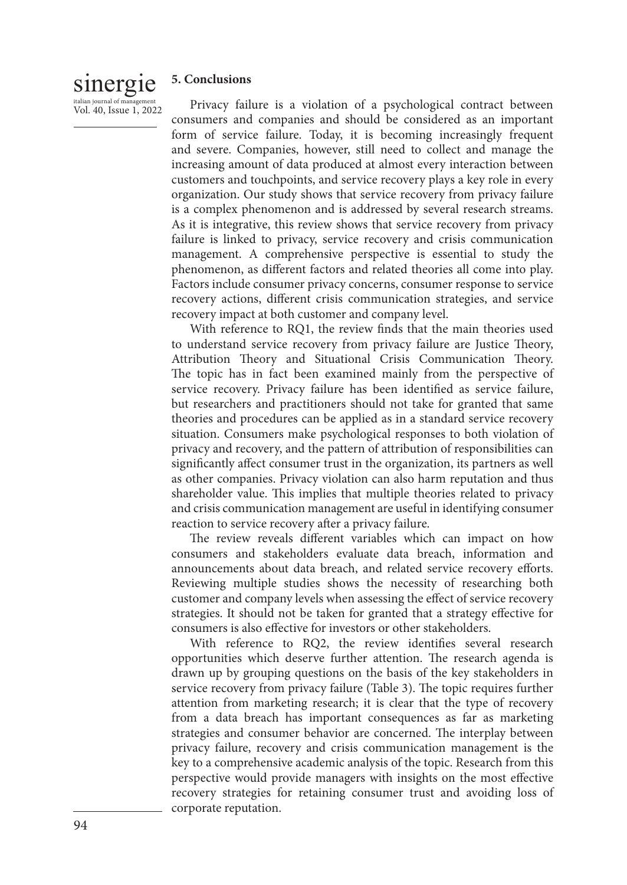# sinergie italian journal of managem

Vol. 40, Issue 1, 2022

# **5. Conclusions**

Privacy failure is a violation of a psychological contract between consumers and companies and should be considered as an important form of service failure. Today, it is becoming increasingly frequent and severe. Companies, however, still need to collect and manage the increasing amount of data produced at almost every interaction between customers and touchpoints, and service recovery plays a key role in every organization. Our study shows that service recovery from privacy failure is a complex phenomenon and is addressed by several research streams. As it is integrative, this review shows that service recovery from privacy failure is linked to privacy, service recovery and crisis communication management. A comprehensive perspective is essential to study the phenomenon, as different factors and related theories all come into play. Factors include consumer privacy concerns, consumer response to service recovery actions, different crisis communication strategies, and service recovery impact at both customer and company level.

With reference to RQ1, the review finds that the main theories used to understand service recovery from privacy failure are Justice Theory, Attribution Theory and Situational Crisis Communication Theory. The topic has in fact been examined mainly from the perspective of service recovery. Privacy failure has been identified as service failure, but researchers and practitioners should not take for granted that same theories and procedures can be applied as in a standard service recovery situation. Consumers make psychological responses to both violation of privacy and recovery, and the pattern of attribution of responsibilities can significantly affect consumer trust in the organization, its partners as well as other companies. Privacy violation can also harm reputation and thus shareholder value. This implies that multiple theories related to privacy and crisis communication management are useful in identifying consumer reaction to service recovery after a privacy failure.

The review reveals different variables which can impact on how consumers and stakeholders evaluate data breach, information and announcements about data breach, and related service recovery efforts. Reviewing multiple studies shows the necessity of researching both customer and company levels when assessing the effect of service recovery strategies. It should not be taken for granted that a strategy effective for consumers is also effective for investors or other stakeholders.

With reference to RQ2, the review identifies several research opportunities which deserve further attention. The research agenda is drawn up by grouping questions on the basis of the key stakeholders in service recovery from privacy failure (Table 3). The topic requires further attention from marketing research; it is clear that the type of recovery from a data breach has important consequences as far as marketing strategies and consumer behavior are concerned. The interplay between privacy failure, recovery and crisis communication management is the key to a comprehensive academic analysis of the topic. Research from this perspective would provide managers with insights on the most effective recovery strategies for retaining consumer trust and avoiding loss of corporate reputation.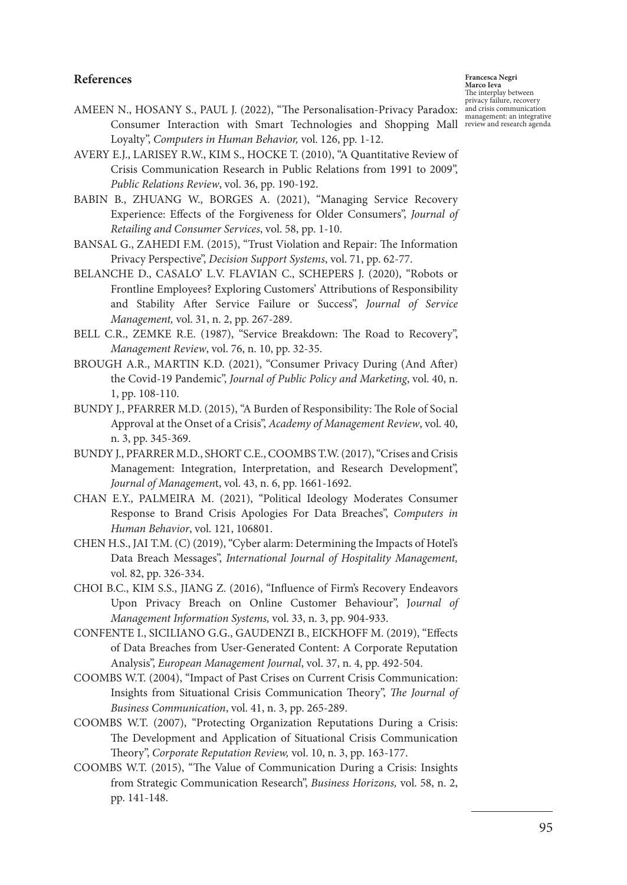# **References**

**Francesca Negri Marco Ieva** The interplay between privacy failure, recovery and crisis communication

- AMEEN N., HOSANY S., PAUL J. (2022), "The Personalisation-Privacy Paradox: Consumer Interaction with Smart Technologies and Shopping Mall review and research agenda Loyalty", *Computers in Human Behavior,* vol. 126, pp. 1-12.
- AVERY E.J., LARISEY R.W., KIM S., HOCKE T. (2010), "A Quantitative Review of Crisis Communication Research in Public Relations from 1991 to 2009", *Public Relations Review*, vol. 36, pp. 190-192.
- BABIN B., ZHUANG W., BORGES A. (2021), "Managing Service Recovery Experience: Effects of the Forgiveness for Older Consumers", *Journal of Retailing and Consumer Services*, vol. 58, pp. 1-10.
- BANSAL G., ZAHEDI F.M. (2015), "Trust Violation and Repair: The Information Privacy Perspective", *Decision Support Systems*, vol. 71, pp. 62-77.
- BELANCHE D., CASALO' L.V. FLAVIAN C., SCHEPERS J. (2020), "Robots or Frontline Employees? Exploring Customers' Attributions of Responsibility and Stability After Service Failure or Success", *Journal of Service Management,* vol. 31, n. 2, pp. 267-289.
- BELL C.R., ZEMKE R.E. (1987), "Service Breakdown: The Road to Recovery", *Management Review*, vol. 76, n. 10, pp. 32-35.
- BROUGH A.R., MARTIN K.D. (2021), "Consumer Privacy During (And After) the Covid-19 Pandemic", *Journal of Public Policy and Marketing*, vol. 40, n. 1, pp. 108-110.
- BUNDY J., PFARRER M.D. (2015), "A Burden of Responsibility: The Role of Social Approval at the Onset of a Crisis", *Academy of Management Review*, vol. 40, n. 3, pp. 345-369.
- BUNDY J., PFARRER M.D., SHORT C.E., COOMBS T.W. (2017), "Crises and Crisis Management: Integration, Interpretation, and Research Development", *Journal of Managemen*t, vol. 43, n. 6, pp. 1661-1692.
- CHAN E.Y., PALMEIRA M. (2021), "Political Ideology Moderates Consumer Response to Brand Crisis Apologies For Data Breaches", *Computers in Human Behavior*, vol. 121, 106801.
- CHEN H.S., JAI T.M. (C) (2019), "Cyber alarm: Determining the Impacts of Hotel's Data Breach Messages", *International Journal of Hospitality Management,*  vol. 82, pp. 326-334.
- CHOI B.C., KIM S.S., JIANG Z. (2016), "Influence of Firm's Recovery Endeavors Upon Privacy Breach on Online Customer Behaviour", J*ournal of Management Information Systems,* vol. 33, n. 3, pp. 904-933.
- CONFENTE I., SICILIANO G.G., GAUDENZI B., EICKHOFF M. (2019), "Effects of Data Breaches from User-Generated Content: A Corporate Reputation Analysis", *European Management Journal*, vol. 37, n. 4, pp. 492-504.
- COOMBS W.T. (2004), "Impact of Past Crises on Current Crisis Communication: Insights from Situational Crisis Communication Theory", *The Journal of Business Communication*, vol. 41, n. 3, pp. 265-289.
- COOMBS W.T. (2007), "Protecting Organization Reputations During a Crisis: The Development and Application of Situational Crisis Communication Theory", *Corporate Reputation Review,* vol. 10, n. 3, pp. 163-177.
- COOMBS W.T. (2015), "The Value of Communication During a Crisis: Insights from Strategic Communication Research", *Business Horizons,* vol. 58, n. 2, pp. 141-148.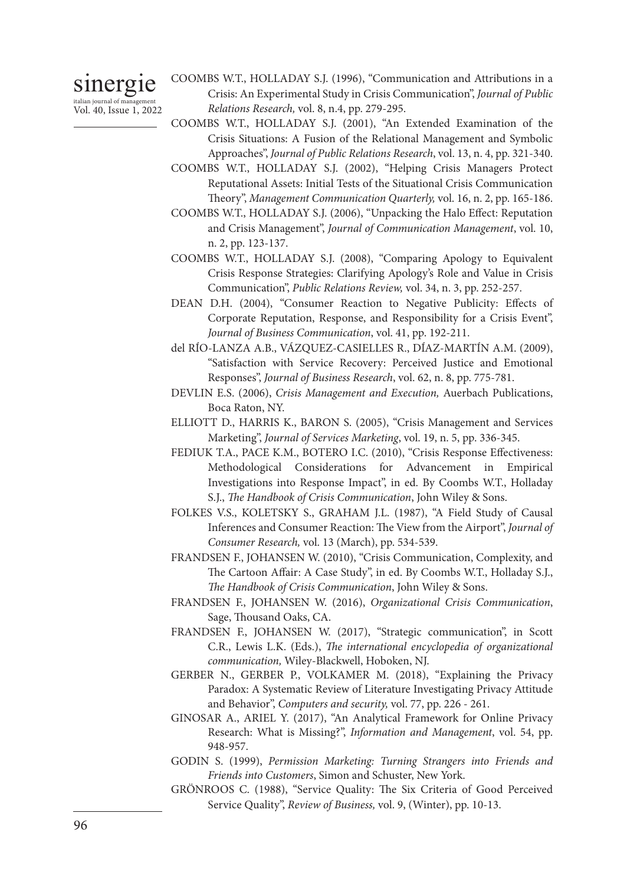sinergie italian journal of management Vol. 40, Issue 1, 2022 COOMBS W.T., HOLLADAY S.J. (1996), "Communication and Attributions in a Crisis: An Experimental Study in Crisis Communication", *Journal of Public Relations Research,* vol. 8, n.4, pp. 279-295.

- COOMBS W.T., HOLLADAY S.J. (2001), "An Extended Examination of the Crisis Situations: A Fusion of the Relational Management and Symbolic Approaches", *Journal of Public Relations Research*, vol. 13, n. 4, pp. 321-340.
- COOMBS W.T., HOLLADAY S.J. (2002), "Helping Crisis Managers Protect Reputational Assets: Initial Tests of the Situational Crisis Communication Theory", *Management Communication Quarterly,* vol. 16, n. 2, pp. 165-186.
- COOMBS W.T., HOLLADAY S.J. (2006), "Unpacking the Halo Effect: Reputation and Crisis Management", *Journal of Communication Management*, vol. 10, n. 2, pp. 123-137.
- COOMBS W.T., HOLLADAY S.J. (2008), "Comparing Apology to Equivalent Crisis Response Strategies: Clarifying Apology's Role and Value in Crisis Communication", *Public Relations Review,* vol. 34, n. 3, pp. 252-257.
- DEAN D.H. (2004), "Consumer Reaction to Negative Publicity: Effects of Corporate Reputation, Response, and Responsibility for a Crisis Event", *Journal of Business Communication*, vol. 41, pp. 192-211.
- del RÍO-LANZA A.B., VÁZQUEZ-CASIELLES R., DÍAZ-MARTÍN A.M. (2009), "Satisfaction with Service Recovery: Perceived Justice and Emotional Responses", *Journal of Business Research*, vol. 62, n. 8, pp. 775-781.
- DEVLIN E.S. (2006), *Crisis Management and Execution,* Auerbach Publications, Boca Raton, NY.
- ELLIOTT D., HARRIS K., BARON S. (2005), "Crisis Management and Services Marketing", *Journal of Services Marketing*, vol. 19, n. 5, pp. 336-345.
- FEDIUK T.A., PACE K.M., BOTERO I.C. (2010), "Crisis Response Effectiveness: Methodological Considerations for Advancement in Empirical Investigations into Response Impact", in ed. By Coombs W.T., Holladay S.J., *The Handbook of Crisis Communication*, John Wiley & Sons.
- FOLKES V.S., KOLETSKY S., GRAHAM J.L. (1987), "A Field Study of Causal Inferences and Consumer Reaction: The View from the Airport", *Journal of Consumer Research,* vol. 13 (March), pp. 534-539.
- FRANDSEN F., JOHANSEN W. (2010), "Crisis Communication, Complexity, and The Cartoon Affair: A Case Study", in ed. By Coombs W.T., Holladay S.J., *The Handbook of Crisis Communication*, John Wiley & Sons.
- FRANDSEN F., JOHANSEN W. (2016), *Organizational Crisis Communication*, Sage, Thousand Oaks, CA.
- FRANDSEN F., JOHANSEN W. (2017), "Strategic communication", in Scott C.R., Lewis L.K. (Eds.), *The international encyclopedia of organizational communication,* Wiley-Blackwell, Hoboken, NJ.
- GERBER N., GERBER P., VOLKAMER M. (2018), "Explaining the Privacy Paradox: A Systematic Review of Literature Investigating Privacy Attitude and Behavior", *Computers and security,* vol. 77, pp. 226 - 261.
- GINOSAR A., ARIEL Y. (2017), "An Analytical Framework for Online Privacy Research: What is Missing?", *Information and Management*, vol. 54, pp. 948-957.
- GODIN S. (1999), *Permission Marketing: Turning Strangers into Friends and Friends into Customers*, Simon and Schuster, New York.
- GRÖNROOS C. (1988), "Service Quality: The Six Criteria of Good Perceived Service Quality", *Review of Business,* vol. 9, (Winter), pp. 10-13.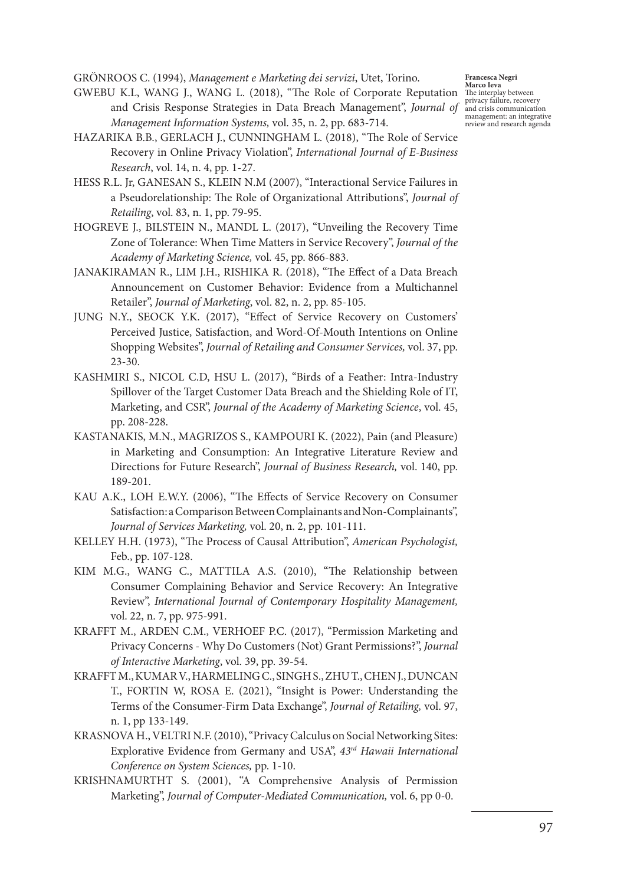GRÖNROOS C. (1994), *Management e Marketing dei servizi*, Utet, Torino.

- GWEBU K.L, WANG J., WANG L. (2018), "The Role of Corporate Reputation and Crisis Response Strategies in Data Breach Management", *Journal of Management Information Systems,* vol. 35, n. 2, pp. 683-714.
- HAZARIKA B.B., GERLACH J., CUNNINGHAM L. (2018), "The Role of Service Recovery in Online Privacy Violation", *International Journal of E-Business Research*, vol. 14, n. 4, pp. 1-27.
- HESS R.L. Jr, GANESAN S., KLEIN N.M (2007), "Interactional Service Failures in a Pseudorelationship: The Role of Organizational Attributions", *Journal of Retailing*, vol. 83, n. 1, pp. 79-95.
- HOGREVE J., BILSTEIN N., MANDL L. (2017), "Unveiling the Recovery Time Zone of Tolerance: When Time Matters in Service Recovery", *Journal of the Academy of Marketing Science,* vol. 45, pp. 866-883.
- JANAKIRAMAN R., LIM J.H., RISHIKA R. (2018), "The Effect of a Data Breach Announcement on Customer Behavior: Evidence from a Multichannel Retailer", *Journal of Marketing*, vol. 82, n. 2, pp. 85-105.
- JUNG N.Y., SEOCK Y.K. (2017), "Effect of Service Recovery on Customers' Perceived Justice, Satisfaction, and Word-Of-Mouth Intentions on Online Shopping Websites", *Journal of Retailing and Consumer Services,* vol. 37, pp.  $23 - 30.$
- KASHMIRI S., NICOL C.D, HSU L. (2017), "Birds of a Feather: Intra-Industry Spillover of the Target Customer Data Breach and the Shielding Role of IT, Marketing, and CSR", *Journal of the Academy of Marketing Science*, vol. 45, pp. 208-228.
- KASTANAKIS, M.N., MAGRIZOS S., KAMPOURI K. (2022), Pain (and Pleasure) in Marketing and Consumption: An Integrative Literature Review and Directions for Future Research", *Journal of Business Research,* vol. 140, pp. 189-201.
- KAU A.K., LOH E.W.Y. (2006), "The Effects of Service Recovery on Consumer Satisfaction: a Comparison Between Complainants and Non‐Complainants", *Journal of Services Marketing,* vol. 20, n. 2, pp. 101-111.
- KELLEY H.H. (1973), "The Process of Causal Attribution", *American Psychologist,*  Feb., pp. 107-128.
- KIM M.G., WANG C., MATTILA A.S. (2010), "The Relationship between Consumer Complaining Behavior and Service Recovery: An Integrative Review", *International Journal of Contemporary Hospitality Management,*  vol. 22, n. 7, pp. 975-991.
- KRAFFT M., ARDEN C.M., VERHOEF P.C. (2017), "Permission Marketing and Privacy Concerns - Why Do Customers (Not) Grant Permissions?", *Journal of Interactive Marketing*, vol. 39, pp. 39-54.
- KRAFFT M., KUMAR V., HARMELING C., SINGH S., ZHU T., CHEN J., DUNCAN T., FORTIN W, ROSA E. (2021), "Insight is Power: Understanding the Terms of the Consumer-Firm Data Exchange", *Journal of Retailing,* vol. 97, n. 1, pp 133-149.
- KRASNOVA H., VELTRI N.F. (2010), "Privacy Calculus on Social Networking Sites: Explorative Evidence from Germany and USA", *43rd Hawaii International Conference on System Sciences,* pp. 1-10.
- KRISHNAMURTHT S. (2001), "A Comprehensive Analysis of Permission Marketing", *Journal of Computer-Mediated Communication,* vol. 6, pp 0-0.

**Francesca Negri Marco Ieva** The interplay between privacy failure, recovery and crisis communication management: an integrative review and research agenda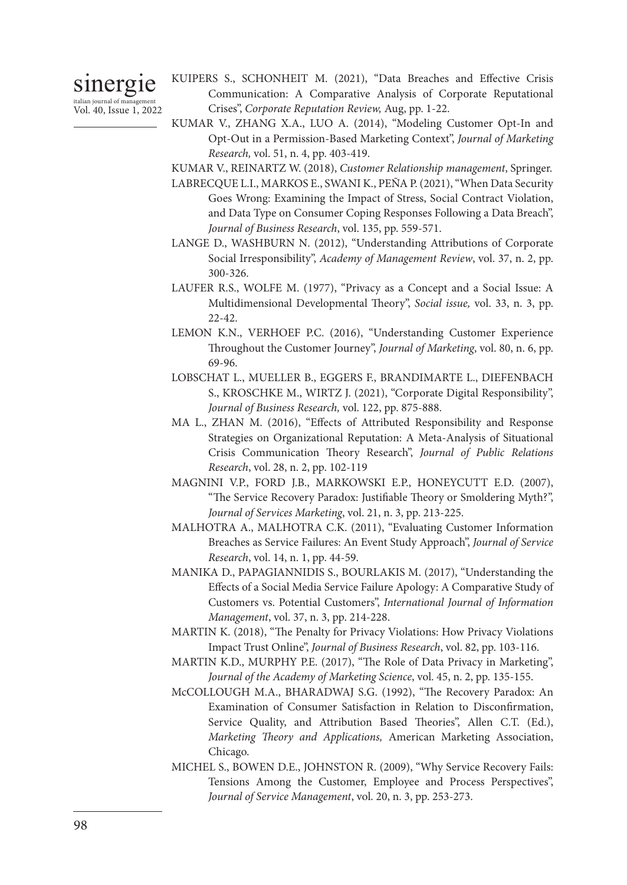sinergie italian journal of management Vol. 40, Issue 1, 2022

- KUIPERS S., SCHONHEIT M. (2021), "Data Breaches and Effective Crisis Communication: A Comparative Analysis of Corporate Reputational Crises", *Corporate Reputation Review,* Aug, pp. 1-22.
- KUMAR V., ZHANG X.A., LUO A. (2014), "Modeling Customer Opt-In and Opt-Out in a Permission-Based Marketing Context", *Journal of Marketing Research,* vol. 51, n. 4, pp. 403-419.
- KUMAR V., REINARTZ W. (2018), *Customer Relationship management*, Springer.
- LABRECQUE L.I., MARKOS E., SWANI K., PEÑA P. (2021), "When Data Security Goes Wrong: Examining the Impact of Stress, Social Contract Violation, and Data Type on Consumer Coping Responses Following a Data Breach", *Journal of Business Research*, vol. 135, pp. 559-571.
- LANGE D., WASHBURN N. (2012), "Understanding Attributions of Corporate Social Irresponsibility", *Academy of Management Review*, vol. 37, n. 2, pp. 300-326.
- LAUFER R.S., WOLFE M. (1977), "Privacy as a Concept and a Social Issue: A Multidimensional Developmental Theory", *Social issue,* vol. 33, n. 3, pp. 22-42.
- LEMON K.N., VERHOEF P.C. (2016), "Understanding Customer Experience Throughout the Customer Journey", *Journal of Marketing*, vol. 80, n. 6, pp. 69-96.
- LOBSCHAT L., MUELLER B., EGGERS F., BRANDIMARTE L., DIEFENBACH S., KROSCHKE M., WIRTZ J. (2021), "Corporate Digital Responsibility", *Journal of Business Research,* vol. 122, pp. 875-888.
- MA L., ZHAN M. (2016), "Effects of Attributed Responsibility and Response Strategies on Organizational Reputation: A Meta-Analysis of Situational Crisis Communication Theory Research", *Journal of Public Relations Research*, vol. 28, n. 2, pp. 102-119
- MAGNINI V.P., FORD J.B., MARKOWSKI E.P., HONEYCUTT E.D. (2007), "The Service Recovery Paradox: Justifiable Theory or Smoldering Myth?", *Journal of Services Marketing*, vol. 21, n. 3, pp. 213-225.
- MALHOTRA A., MALHOTRA C.K. (2011), "Evaluating Customer Information Breaches as Service Failures: An Event Study Approach", *Journal of Service Research*, vol. 14, n. 1, pp. 44-59.
- MANIKA D., PAPAGIANNIDIS S., BOURLAKIS M. (2017), "Understanding the Effects of a Social Media Service Failure Apology: A Comparative Study of Customers vs. Potential Customers", *International Journal of Information Management*, vol. 37, n. 3, pp. 214-228.
- MARTIN K. (2018), "The Penalty for Privacy Violations: How Privacy Violations Impact Trust Online", *Journal of Business Research*, vol. 82, pp. 103-116.
- MARTIN K.D., MURPHY P.E. (2017), "The Role of Data Privacy in Marketing", *Journal of the Academy of Marketing Science*, vol. 45, n. 2, pp. 135-155.
- McCOLLOUGH M.A., BHARADWAJ S.G. (1992), "The Recovery Paradox: An Examination of Consumer Satisfaction in Relation to Disconfirmation, Service Quality, and Attribution Based Theories", Allen C.T. (Ed.), *Marketing Theory and Applications,* American Marketing Association, Chicago.
- MICHEL S., BOWEN D.E., JOHNSTON R. (2009), "Why Service Recovery Fails: Tensions Among the Customer, Employee and Process Perspectives", *Journal of Service Management*, vol. 20, n. 3, pp. 253-273.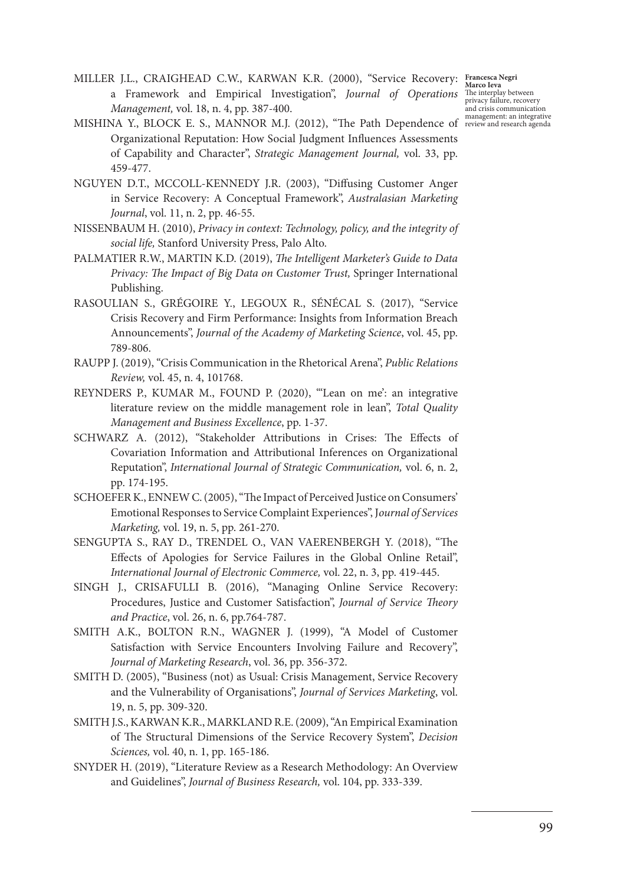MILLER J.L., CRAIGHEAD C.W., KARWAN K.R. (2000), "Service Recovery: a Framework and Empirical Investigation", *Journal of Operations Management,* vol. 18, n. 4, pp. 387-400.

**Francesca Negri Marco Ieva** The interplay between privacy failure, recovery and crisis communication

- MISHINA Y., BLOCK E. S., MANNOR M.J. (2012), "The Path Dependence of review and research agenda Organizational Reputation: How Social Judgment Influences Assessments of Capability and Character", *Strategic Management Journal,* vol. 33, pp. 459-477.
- NGUYEN D.T., MCCOLL-KENNEDY J.R. (2003), "Diffusing Customer Anger in Service Recovery: A Conceptual Framework", *Australasian Marketing Journal*, vol. 11, n. 2, pp. 46-55.
- NISSENBAUM H. (2010), *Privacy in context: Technology, policy, and the integrity of social life,* Stanford University Press, Palo Alto.
- PALMATIER R.W., MARTIN K.D. (2019), *The Intelligent Marketer's Guide to Data Privacy: The Impact of Big Data on Customer Trust,* Springer International Publishing.
- RASOULIAN S., GRÉGOIRE Y., LEGOUX R., SÉNÉCAL S. (2017), "Service Crisis Recovery and Firm Performance: Insights from Information Breach Announcements", *Journal of the Academy of Marketing Science*, vol. 45, pp. 789-806.
- RAUPP J. (2019), "Crisis Communication in the Rhetorical Arena", *Public Relations Review,* vol. 45, n. 4, 101768.
- REYNDERS P., KUMAR M., FOUND P. (2020), "'Lean on me': an integrative literature review on the middle management role in lean", *Total Quality Management and Business Excellence*, pp. 1-37.
- SCHWARZ A. (2012), "Stakeholder Attributions in Crises: The Effects of Covariation Information and Attributional Inferences on Organizational Reputation", *International Journal of Strategic Communication,* vol. 6, n. 2, pp. 174-195.
- SCHOEFER K., ENNEW C. (2005), "The Impact of Perceived Justice on Consumers' Emotional Responses to Service Complaint Experiences", J*ournal of Services Marketing,* vol. 19, n. 5, pp. 261-270.
- SENGUPTA S., RAY D., TRENDEL O., VAN VAERENBERGH Y. (2018), "The Effects of Apologies for Service Failures in the Global Online Retail", *International Journal of Electronic Commerce,* vol. 22, n. 3, pp. 419-445.
- SINGH J., CRISAFULLI B. (2016), "Managing Online Service Recovery: Procedures, Justice and Customer Satisfaction", *Journal of Service Theory and Practice*, vol. 26, n. 6, pp.764-787.
- SMITH A.K., BOLTON R.N., WAGNER J. (1999), "A Model of Customer Satisfaction with Service Encounters Involving Failure and Recovery", *Journal of Marketing Research*, vol. 36, pp. 356-372.
- SMITH D. (2005), "Business (not) as Usual: Crisis Management, Service Recovery and the Vulnerability of Organisations", *Journal of Services Marketing*, vol. 19, n. 5, pp. 309-320.
- SMITH J.S., KARWAN K.R., MARKLAND R.E. (2009), "An Empirical Examination of The Structural Dimensions of the Service Recovery System", *Decision Sciences,* vol. 40, n. 1, pp. 165-186.
- SNYDER H. (2019), "Literature Review as a Research Methodology: An Overview and Guidelines", *Journal of Business Research,* vol. 104, pp. 333-339.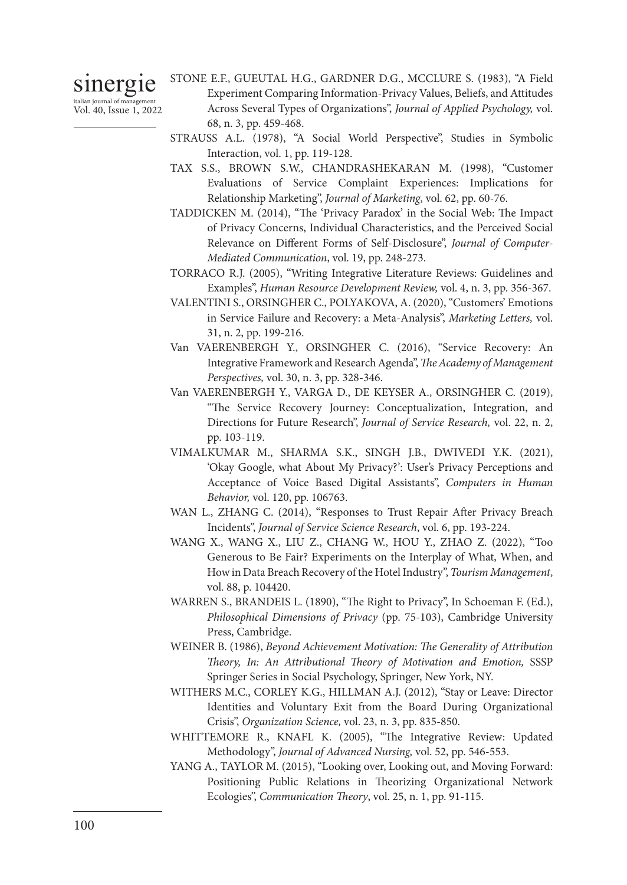sinergie

italian journal of management Vol. 40, Issue 1, 2022

- STONE E.F., GUEUTAL H.G., GARDNER D.G., MCCLURE S. (1983), "A Field Experiment Comparing Information-Privacy Values, Beliefs, and Attitudes Across Several Types of Organizations", *Journal of Applied Psychology,* vol. 68, n. 3, pp. 459-468.
- STRAUSS A.L. (1978), "A Social World Perspective", Studies in Symbolic Interaction, vol. 1, pp. 119-128.
- TAX S.S., BROWN S.W., CHANDRASHEKARAN M. (1998), "Customer Evaluations of Service Complaint Experiences: Implications for Relationship Marketing", *Journal of Marketing*, vol. 62, pp. 60-76.
- TADDICKEN M. (2014), "The 'Privacy Paradox' in the Social Web: The Impact of Privacy Concerns, Individual Characteristics, and the Perceived Social Relevance on Different Forms of Self-Disclosure", *Journal of Computer-Mediated Communication*, vol. 19, pp. 248-273.
- TORRACO R.J. (2005), "Writing Integrative Literature Reviews: Guidelines and Examples", *Human Resource Development Review,* vol. 4, n. 3, pp. 356-367.
- VALENTINI S., ORSINGHER C., POLYAKOVA, A. (2020), "Customers' Emotions in Service Failure and Recovery: a Meta-Analysis", *Marketing Letters,* vol. 31, n. 2, pp. 199-216.
- Van VAERENBERGH Y., ORSINGHER C. (2016), "Service Recovery: An Integrative Framework and Research Agenda", *The Academy of Management Perspectives,* vol. 30, n. 3, pp. 328-346.
- Van VAERENBERGH Y., VARGA D., DE KEYSER A., ORSINGHER C. (2019), "The Service Recovery Journey: Conceptualization, Integration, and Directions for Future Research", *Journal of Service Research,* vol. 22, n. 2, pp. 103-119.
- VIMALKUMAR M., SHARMA S.K., SINGH J.B., DWIVEDI Y.K. (2021), 'Okay Google, what About My Privacy?': User's Privacy Perceptions and Acceptance of Voice Based Digital Assistants", *Computers in Human Behavior,* vol. 120, pp. 106763.
- WAN L., ZHANG C. (2014), "Responses to Trust Repair After Privacy Breach Incidents", *Journal of Service Science Research*, vol. 6, pp. 193-224.
- WANG X., WANG X., LIU Z., CHANG W., HOU Y., ZHAO Z. (2022), "Too Generous to Be Fair? Experiments on the Interplay of What, When, and How in Data Breach Recovery of the Hotel Industry", *Tourism Management*, vol. 88, p. 104420.
- WARREN S., BRANDEIS L. (1890), "The Right to Privacy", In Schoeman F. (Ed.), *Philosophical Dimensions of Privacy* (pp. 75-103), Cambridge University Press, Cambridge.
- WEINER B. (1986), *Beyond Achievement Motivation: The Generality of Attribution Theory, In: An Attributional Theory of Motivation and Emotion,* SSSP Springer Series in Social Psychology, Springer, New York, NY.
- WITHERS M.C., CORLEY K.G., HILLMAN A.J. (2012), "Stay or Leave: Director Identities and Voluntary Exit from the Board During Organizational Crisis", *Organization Science,* vol. 23, n. 3, pp. 835-850.
- WHITTEMORE R., KNAFL K. (2005), "The Integrative Review: Updated Methodology", *Journal of Advanced Nursing,* vol. 52, pp. 546-553.
- YANG A., TAYLOR M. (2015), "Looking over, Looking out, and Moving Forward: Positioning Public Relations in Theorizing Organizational Network Ecologies", *Communication Theory*, vol. 25, n. 1, pp. 91-115.